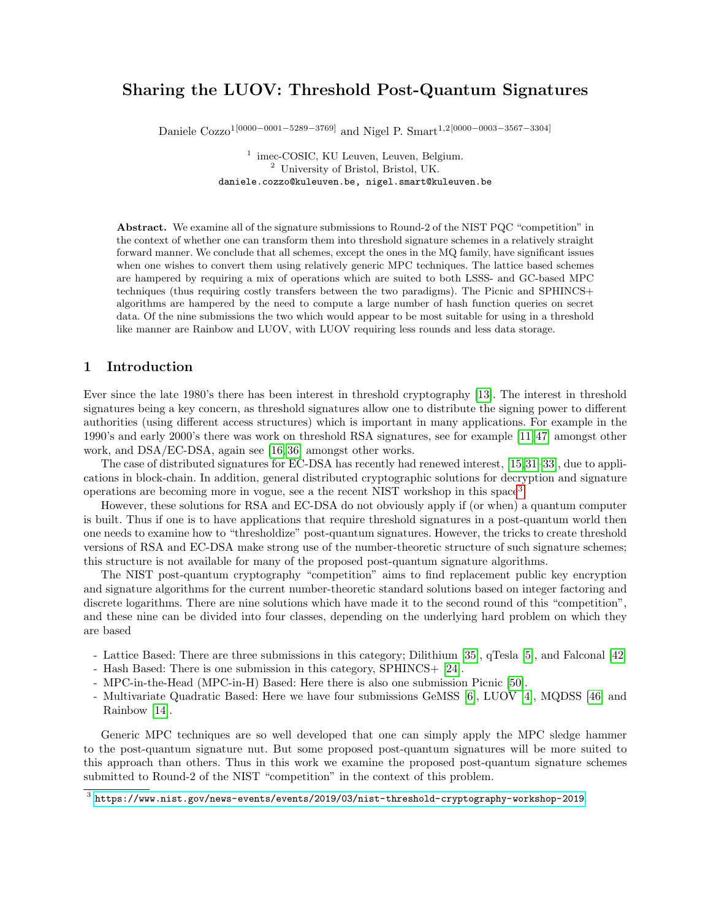# Sharing the LUOV: Threshold Post-Quantum Signatures

Daniele Cozzo<sup>1</sup>[0000−0001−5289−3769] and Nigel P. Smart<sup>1,2</sup>[0000−0003−3567−3304]

<sup>1</sup> imec-COSIC, KU Leuven, Leuven, Belgium. <sup>2</sup> University of Bristol, Bristol, UK. daniele.cozzo@kuleuven.be, nigel.smart@kuleuven.be

Abstract. We examine all of the signature submissions to Round-2 of the NIST PQC "competition" in the context of whether one can transform them into threshold signature schemes in a relatively straight forward manner. We conclude that all schemes, except the ones in the MQ family, have significant issues when one wishes to convert them using relatively generic MPC techniques. The lattice based schemes are hampered by requiring a mix of operations which are suited to both LSSS- and GC-based MPC techniques (thus requiring costly transfers between the two paradigms). The Picnic and SPHINCS+ algorithms are hampered by the need to compute a large number of hash function queries on secret data. Of the nine submissions the two which would appear to be most suitable for using in a threshold like manner are Rainbow and LUOV, with LUOV requiring less rounds and less data storage.

### 1 Introduction

Ever since the late 1980's there has been interest in threshold cryptography [\[13\]](#page-20-0). The interest in threshold signatures being a key concern, as threshold signatures allow one to distribute the signing power to different authorities (using different access structures) which is important in many applications. For example in the 1990's and early 2000's there was work on threshold RSA signatures, see for example [\[11,](#page-20-1) [47\]](#page-22-0) amongst other work, and DSA/EC-DSA, again see [\[16,](#page-21-0) [36\]](#page-21-1) amongst other works.

The case of distributed signatures for EC-DSA has recently had renewed interest, [\[15,](#page-21-2)[31–](#page-21-3)[33\]](#page-21-4), due to applications in block-chain. In addition, general distributed cryptographic solutions for decryption and signature operations are becoming more in vogue, see a the recent NIST workshop in this space<sup>[3](#page-0-0)</sup>.

However, these solutions for RSA and EC-DSA do not obviously apply if (or when) a quantum computer is built. Thus if one is to have applications that require threshold signatures in a post-quantum world then one needs to examine how to "thresholdize" post-quantum signatures. However, the tricks to create threshold versions of RSA and EC-DSA make strong use of the number-theoretic structure of such signature schemes; this structure is not available for many of the proposed post-quantum signature algorithms.

The NIST post-quantum cryptography "competition" aims to find replacement public key encryption and signature algorithms for the current number-theoretic standard solutions based on integer factoring and discrete logarithms. There are nine solutions which have made it to the second round of this "competition", and these nine can be divided into four classes, depending on the underlying hard problem on which they are based

- Lattice Based: There are three submissions in this category; Dilithium [\[35\]](#page-21-5), qTesla [\[5\]](#page-20-2), and Falconal [\[42\]](#page-22-1)
- Hash Based: There is one submission in this category, SPHINCS+ [\[24\]](#page-21-6).
- MPC-in-the-Head (MPC-in-H) Based: Here there is also one submission Picnic [\[50\]](#page-22-2).
- Multivariate Quadratic Based: Here we have four submissions GeMSS [\[6\]](#page-20-3), LUOV [\[4\]](#page-20-4), MQDSS [\[46\]](#page-22-3) and Rainbow [\[14\]](#page-20-5).

Generic MPC techniques are so well developed that one can simply apply the MPC sledge hammer to the post-quantum signature nut. But some proposed post-quantum signatures will be more suited to this approach than others. Thus in this work we examine the proposed post-quantum signature schemes submitted to Round-2 of the NIST "competition" in the context of this problem.

<span id="page-0-0"></span> $^3$  <https://www.nist.gov/news-events/events/2019/03/nist-threshold-cryptography-workshop-2019>.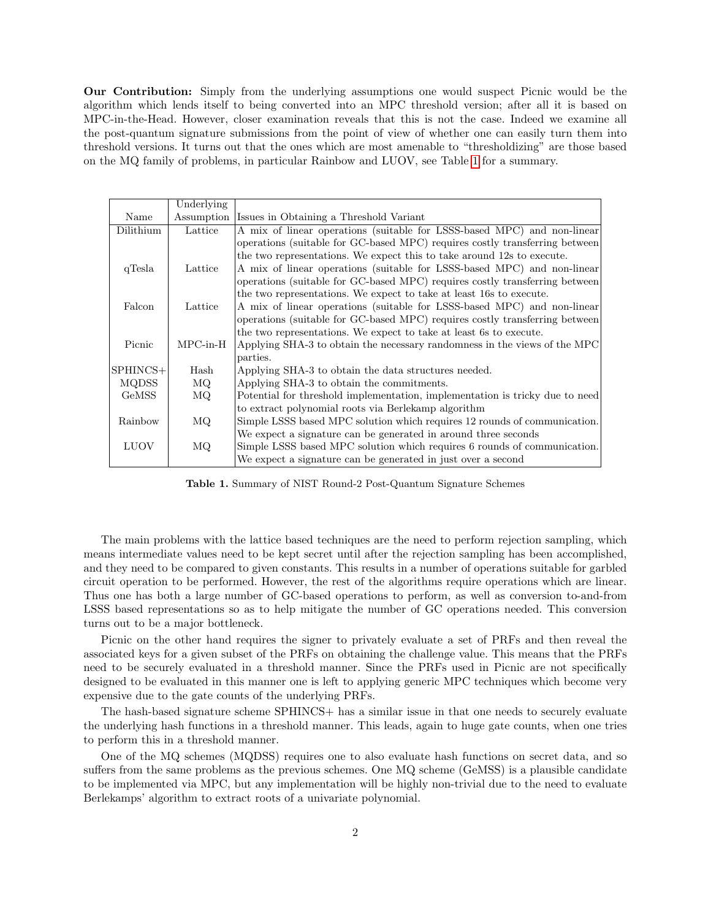Our Contribution: Simply from the underlying assumptions one would suspect Picnic would be the algorithm which lends itself to being converted into an MPC threshold version; after all it is based on MPC-in-the-Head. However, closer examination reveals that this is not the case. Indeed we examine all the post-quantum signature submissions from the point of view of whether one can easily turn them into threshold versions. It turns out that the ones which are most amenable to "thresholdizing" are those based on the MQ family of problems, in particular Rainbow and LUOV, see Table [1](#page-1-0) for a summary.

|              | Underlying |                                                                              |  |  |  |  |
|--------------|------------|------------------------------------------------------------------------------|--|--|--|--|
| Name         |            | Assumption Issues in Obtaining a Threshold Variant                           |  |  |  |  |
| Dilithium    | Lattice    | A mix of linear operations (suitable for LSSS-based MPC) and non-linear      |  |  |  |  |
|              |            | operations (suitable for GC-based MPC) requires costly transferring between  |  |  |  |  |
|              |            | the two representations. We expect this to take around 12s to execute.       |  |  |  |  |
| qTesla       | Lattice    | A mix of linear operations (suitable for LSSS-based MPC) and non-linear      |  |  |  |  |
|              |            | operations (suitable for GC-based MPC) requires costly transferring between  |  |  |  |  |
|              |            | the two representations. We expect to take at least 16s to execute.          |  |  |  |  |
| Falcon       | Lattice    | A mix of linear operations (suitable for LSSS-based MPC) and non-linear      |  |  |  |  |
|              |            | operations (suitable for GC-based MPC) requires costly transferring between  |  |  |  |  |
|              |            | the two representations. We expect to take at least 6s to execute.           |  |  |  |  |
| Picnic       | $MPC-in-H$ | Applying SHA-3 to obtain the necessary randomness in the views of the MPC    |  |  |  |  |
|              |            | parties.                                                                     |  |  |  |  |
| $SPHINCS+$   | Hash       | Applying SHA-3 to obtain the data structures needed.                         |  |  |  |  |
| <b>MQDSS</b> | MQ         | Applying SHA-3 to obtain the commitments.                                    |  |  |  |  |
| <b>GeMSS</b> | MQ         | Potential for threshold implementation, implementation is tricky due to need |  |  |  |  |
|              |            | to extract polynomial roots via Berlekamp algorithm                          |  |  |  |  |
| Rainbow      | MQ.        | Simple LSSS based MPC solution which requires 12 rounds of communication.    |  |  |  |  |
|              |            | We expect a signature can be generated in around three seconds               |  |  |  |  |
| <b>LUOV</b>  | MQ         | Simple LSSS based MPC solution which requires 6 rounds of communication.     |  |  |  |  |
|              |            | We expect a signature can be generated in just over a second                 |  |  |  |  |

<span id="page-1-0"></span>Table 1. Summary of NIST Round-2 Post-Quantum Signature Schemes

The main problems with the lattice based techniques are the need to perform rejection sampling, which means intermediate values need to be kept secret until after the rejection sampling has been accomplished, and they need to be compared to given constants. This results in a number of operations suitable for garbled circuit operation to be performed. However, the rest of the algorithms require operations which are linear. Thus one has both a large number of GC-based operations to perform, as well as conversion to-and-from LSSS based representations so as to help mitigate the number of GC operations needed. This conversion turns out to be a major bottleneck.

Picnic on the other hand requires the signer to privately evaluate a set of PRFs and then reveal the associated keys for a given subset of the PRFs on obtaining the challenge value. This means that the PRFs need to be securely evaluated in a threshold manner. Since the PRFs used in Picnic are not specifically designed to be evaluated in this manner one is left to applying generic MPC techniques which become very expensive due to the gate counts of the underlying PRFs.

The hash-based signature scheme SPHINCS+ has a similar issue in that one needs to securely evaluate the underlying hash functions in a threshold manner. This leads, again to huge gate counts, when one tries to perform this in a threshold manner.

One of the MQ schemes (MQDSS) requires one to also evaluate hash functions on secret data, and so suffers from the same problems as the previous schemes. One MQ scheme (GeMSS) is a plausible candidate to be implemented via MPC, but any implementation will be highly non-trivial due to the need to evaluate Berlekamps' algorithm to extract roots of a univariate polynomial.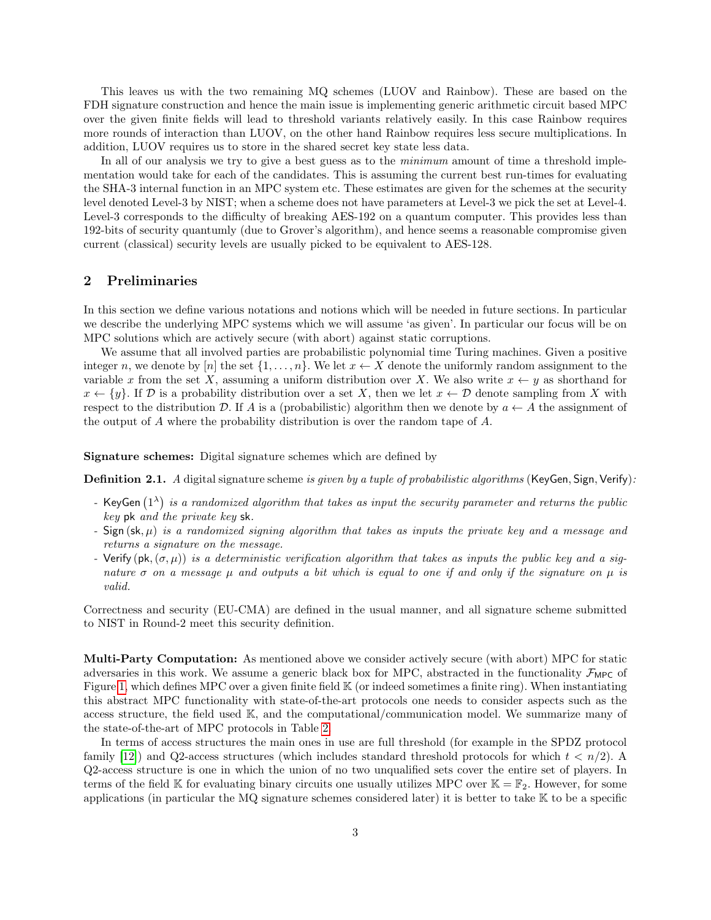This leaves us with the two remaining MQ schemes (LUOV and Rainbow). These are based on the FDH signature construction and hence the main issue is implementing generic arithmetic circuit based MPC over the given finite fields will lead to threshold variants relatively easily. In this case Rainbow requires more rounds of interaction than LUOV, on the other hand Rainbow requires less secure multiplications. In addition, LUOV requires us to store in the shared secret key state less data.

In all of our analysis we try to give a best guess as to the *minimum* amount of time a threshold implementation would take for each of the candidates. This is assuming the current best run-times for evaluating the SHA-3 internal function in an MPC system etc. These estimates are given for the schemes at the security level denoted Level-3 by NIST; when a scheme does not have parameters at Level-3 we pick the set at Level-4. Level-3 corresponds to the difficulty of breaking AES-192 on a quantum computer. This provides less than 192-bits of security quantumly (due to Grover's algorithm), and hence seems a reasonable compromise given current (classical) security levels are usually picked to be equivalent to AES-128.

## 2 Preliminaries

In this section we define various notations and notions which will be needed in future sections. In particular we describe the underlying MPC systems which we will assume 'as given'. In particular our focus will be on MPC solutions which are actively secure (with abort) against static corruptions.

We assume that all involved parties are probabilistic polynomial time Turing machines. Given a positive integer n, we denote by [n] the set  $\{1,\ldots,n\}$ . We let  $x \leftarrow X$  denote the uniformly random assignment to the variable x from the set X, assuming a uniform distribution over X. We also write  $x \leftarrow y$  as shorthand for  $x \leftarrow \{y\}$ . If  $\mathcal{D}$  is a probability distribution over a set X, then we let  $x \leftarrow \mathcal{D}$  denote sampling from X with respect to the distribution D. If A is a (probabilistic) algorithm then we denote by  $a \leftarrow A$  the assignment of the output of A where the probability distribution is over the random tape of A.

Signature schemes: Digital signature schemes which are defined by

Definition 2.1. A digital signature scheme is given by a tuple of probabilistic algorithms (KeyGen, Sign, Verify):

- KeyGen  $(1^{\lambda})$  is a randomized algorithm that takes as input the security parameter and returns the public key pk and the private key sk.
- Sign  $(\mathsf{sk}, \mu)$  is a randomized signing algorithm that takes as inputs the private key and a message and returns a signature on the message.
- Verify  $(\mathsf{pk},(\sigma,\mu))$  is a deterministic verification algorithm that takes as inputs the public key and a signature  $\sigma$  on a message  $\mu$  and outputs a bit which is equal to one if and only if the signature on  $\mu$  is valid.

Correctness and security (EU-CMA) are defined in the usual manner, and all signature scheme submitted to NIST in Round-2 meet this security definition.

Multi-Party Computation: As mentioned above we consider actively secure (with abort) MPC for static adversaries in this work. We assume a generic black box for MPC, abstracted in the functionality  $\mathcal{F}_{\text{MPC}}$  of Figure [1,](#page-3-0) which defines MPC over a given finite field K (or indeed sometimes a finite ring). When instantiating this abstract MPC functionality with state-of-the-art protocols one needs to consider aspects such as the access structure, the field used K, and the computational/communication model. We summarize many of the state-of-the-art of MPC protocols in Table [2.](#page-4-0)

In terms of access structures the main ones in use are full threshold (for example in the SPDZ protocol family [\[12\]](#page-20-6)) and Q2-access structures (which includes standard threshold protocols for which  $t < n/2$ ). Q2-access structure is one in which the union of no two unqualified sets cover the entire set of players. In terms of the field K for evaluating binary circuits one usually utilizes MPC over  $\mathbb{K} = \mathbb{F}_2$ . However, for some applications (in particular the MQ signature schemes considered later) it is better to take K to be a specific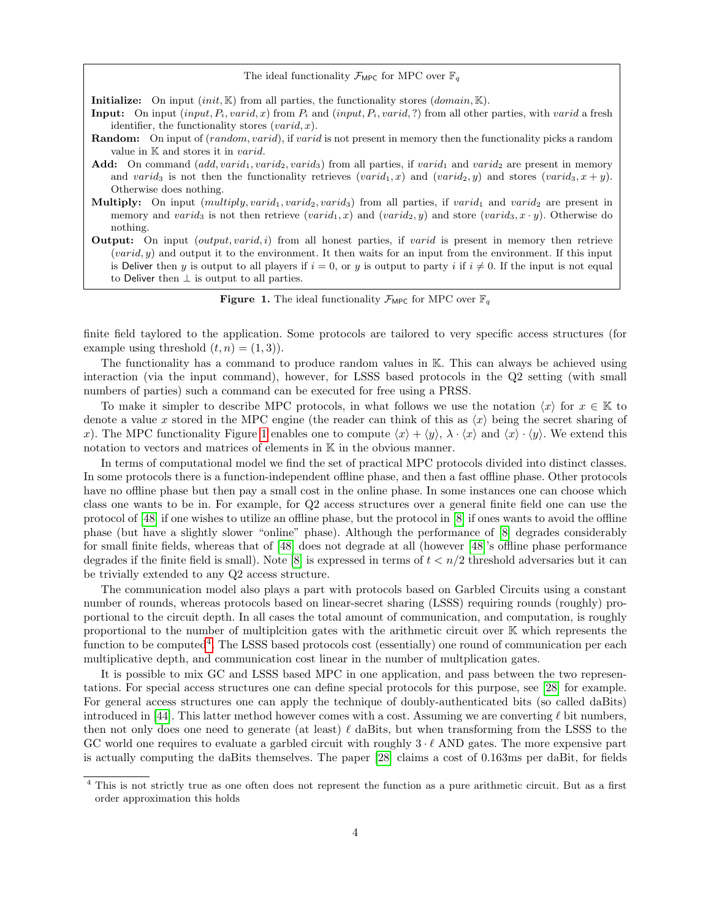The ideal functionality  $\mathcal{F}_{\text{MPC}}$  for MPC over  $\mathbb{F}_q$ 

**Initialize:** On input  $(int, \mathbb{K})$  from all parties, the functionality stores  $(domain, \mathbb{K})$ .

- **Input:** On input  $(input, P_i, vari d, x)$  from  $P_i$  and  $(input, P_i, vari d, ?)$  from all other parties, with varid a fresh identifier, the functionality stores  $(varid, x)$ .
- **Random:** On input of (*random, varid*), if *varid* is not present in memory then the functionality picks a random value in  $K$  and stores it in *varid*.
- Add: On command  $(add, variable, variable, variable)$  from all parties, if  $variable_1$  and  $variable_2$  are present in memory and varid<sub>3</sub> is not then the functionality retrieves (varid<sub>1</sub>, x) and (varid<sub>2</sub>, y) and stores (varid<sub>3</sub>, x + y). Otherwise does nothing.
- Multiply: On input  $(multiply, variable, variable, variable)$  from all parties, if  $variable$  and  $variable$  are present in memory and varid<sub>3</sub> is not then retrieve (varid<sub>1</sub>, x) and (varid<sub>2</sub>, y) and store (varid<sub>3</sub>, x · y). Otherwise do nothing.
- **Output:** On input  $(output, vari d, i)$  from all honest parties, if *varid* is present in memory then retrieve  $(varid, y)$  and output it to the environment. It then waits for an input from the environment. If this input is Deliver then y is output to all players if  $i = 0$ , or y is output to party i if  $i \neq 0$ . If the input is not equal to Deliver then  $\perp$  is output to all parties.

<span id="page-3-0"></span>**Figure 1.** The ideal functionality  $\mathcal{F}_{\text{MPC}}$  for MPC over  $\mathbb{F}_q$ 

finite field taylored to the application. Some protocols are tailored to very specific access structures (for example using threshold  $(t, n) = (1, 3)$ .

The functionality has a command to produce random values in K. This can always be achieved using interaction (via the input command), however, for LSSS based protocols in the Q2 setting (with small numbers of parties) such a command can be executed for free using a PRSS.

To make it simpler to describe MPC protocols, in what follows we use the notation  $\langle x \rangle$  for  $x \in \mathbb{K}$  to denote a value x stored in the MPC engine (the reader can think of this as  $\langle x \rangle$  being the secret sharing of x). The MPC functionality Figure [1](#page-3-0) enables one to compute  $\langle x \rangle + \langle y \rangle$ ,  $\lambda \cdot \langle x \rangle$  and  $\langle x \rangle \cdot \langle y \rangle$ . We extend this notation to vectors and matrices of elements in K in the obvious manner.

In terms of computational model we find the set of practical MPC protocols divided into distinct classes. In some protocols there is a function-independent offline phase, and then a fast offline phase. Other protocols have no offline phase but then pay a small cost in the online phase. In some instances one can choose which class one wants to be in. For example, for Q2 access structures over a general finite field one can use the protocol of [\[48\]](#page-22-4) if one wishes to utilize an offline phase, but the protocol in [\[8\]](#page-20-7) if ones wants to avoid the offline phase (but have a slightly slower "online" phase). Although the performance of [\[8\]](#page-20-7) degrades considerably for small finite fields, whereas that of [\[48\]](#page-22-4) does not degrade at all (however [\[48\]](#page-22-4)'s offline phase performance degrades if the finite field is small). Note [\[8\]](#page-20-7) is expressed in terms of  $t < n/2$  threshold adversaries but it can be trivially extended to any Q2 access structure.

The communication model also plays a part with protocols based on Garbled Circuits using a constant number of rounds, whereas protocols based on linear-secret sharing (LSSS) requiring rounds (roughly) proportional to the circuit depth. In all cases the total amount of communication, and computation, is roughly proportional to the number of multiplcition gates with the arithmetic circuit over K which represents the function to be computed<sup>[4](#page-3-1)</sup>. The LSSS based protocols cost (essentially) one round of communication per each multiplicative depth, and communication cost linear in the number of multplication gates.

It is possible to mix GC and LSSS based MPC in one application, and pass between the two representations. For special access structures one can define special protocols for this purpose, see [\[28\]](#page-21-7) for example. For general access structures one can apply the technique of doubly-authenticated bits (so called daBits) introduced in [\[44\]](#page-22-5). This latter method however comes with a cost. Assuming we are converting  $\ell$  bit numbers, then not only does one need to generate (at least)  $\ell$  daBits, but when transforming from the LSSS to the GC world one requires to evaluate a garbled circuit with roughly  $3 \cdot \ell$  AND gates. The more expensive part is actually computing the daBits themselves. The paper [\[28\]](#page-21-7) claims a cost of 0.163ms per daBit, for fields

<span id="page-3-1"></span><sup>&</sup>lt;sup>4</sup> This is not strictly true as one often does not represent the function as a pure arithmetic circuit. But as a first order approximation this holds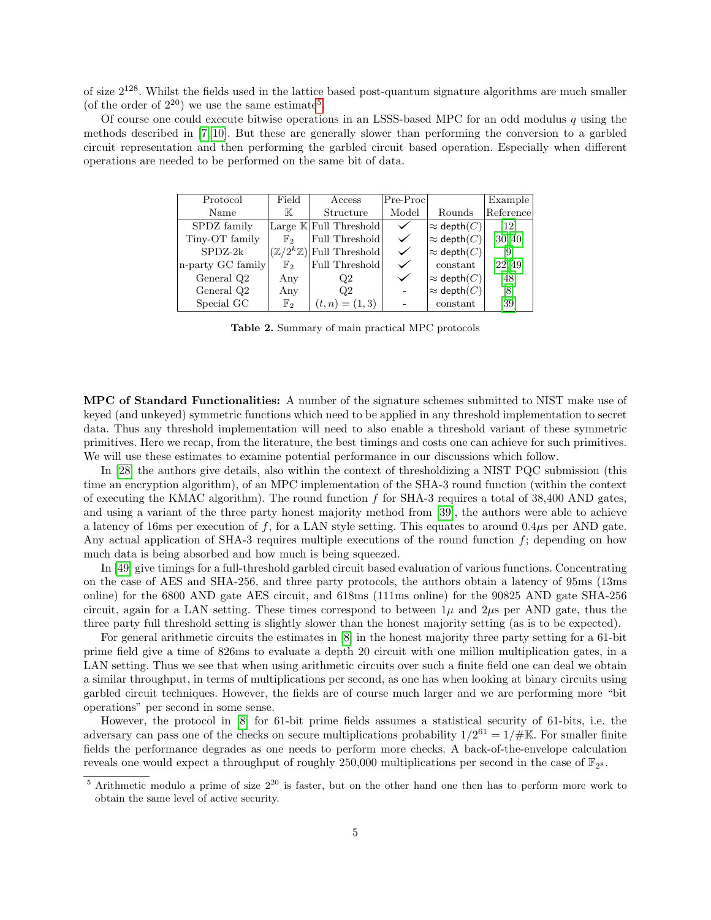of size  $2^{128}$ . Whilst the fields used in the lattice based post-quantum signature algorithms are much smaller (of the order of  $2^{20}$ ) we use the same estimate<sup>[5](#page-4-1)</sup>.

Of course one could execute bitwise operations in an LSSS-based MPC for an odd modulus q using the methods described in [\[7,](#page-20-8) [10\]](#page-20-9). But these are generally slower than performing the conversion to a garbled circuit representation and then performing the garbled circuit based operation. Especially when different operations are needed to be performed on the same bit of data.

| Protocol          | Field          | Access                                      | $ Pre-Proc $ |                               | Example           |
|-------------------|----------------|---------------------------------------------|--------------|-------------------------------|-------------------|
| Name              | К              | Structure                                   | Model        | Rounds                        | Reference         |
| SPDZ family       |                | Large $\mathbb{K}$ Full Threshold           | $\checkmark$ | $\approx$ depth $(C)$         | $\left[12\right]$ |
| Tiny-OT family    | $\mathbb{F}_2$ | Full Threshold                              | ✓            | $\approx$ depth $(C)$         | [30, 40]          |
| $SPDZ-2k$         |                | $(\mathbb{Z}/2^k\mathbb{Z})$ Full Threshold | ✓            | $ \approx \mathsf{depth}(C) $ | [9]               |
| n-party GC family | $\mathbb{F}_2$ | Full Threshold                              |              | constant                      | [22, 49]          |
| General Q2        | Any            | Q2                                          |              | $\approx$ depth $(C)$         | [48]              |
| General Q2        | Any            | Q2                                          |              | $\approx$ depth $(C)$         | [8]               |
| Special GC        | $\mathbb{F}_2$ | $(t, n) = (1, 3)$                           |              | constant                      | [39]              |

<span id="page-4-0"></span>Table 2. Summary of main practical MPC protocols

MPC of Standard Functionalities: A number of the signature schemes submitted to NIST make use of keyed (and unkeyed) symmetric functions which need to be applied in any threshold implementation to secret data. Thus any threshold implementation will need to also enable a threshold variant of these symmetric primitives. Here we recap, from the literature, the best timings and costs one can achieve for such primitives. We will use these estimates to examine potential performance in our discussions which follow.

In [\[28\]](#page-21-7) the authors give details, also within the context of thresholdizing a NIST PQC submission (this time an encryption algorithm), of an MPC implementation of the SHA-3 round function (within the context of executing the KMAC algorithm). The round function  $f$  for SHA-3 requires a total of 38,400 AND gates, and using a variant of the three party honest majority method from [\[39\]](#page-22-8), the authors were able to achieve a latency of 16ms per execution of f, for a LAN style setting. This equates to around  $0.4\mu s$  per AND gate. Any actual application of SHA-3 requires multiple executions of the round function f; depending on how much data is being absorbed and how much is being squeezed.

In [\[49\]](#page-22-7) give timings for a full-threshold garbled circuit based evaluation of various functions. Concentrating on the case of AES and SHA-256, and three party protocols, the authors obtain a latency of 95ms (13ms online) for the 6800 AND gate AES circuit, and 618ms (111ms online) for the 90825 AND gate SHA-256 circuit, again for a LAN setting. These times correspond to between  $1\mu$  and  $2\mu$ s per AND gate, thus the three party full threshold setting is slightly slower than the honest majority setting (as is to be expected).

For general arithmetic circuits the estimates in [\[8\]](#page-20-7) in the honest majority three party setting for a 61-bit prime field give a time of 826ms to evaluate a depth 20 circuit with one million multiplication gates, in a LAN setting. Thus we see that when using arithmetic circuits over such a finite field one can deal we obtain a similar throughput, in terms of multiplications per second, as one has when looking at binary circuits using garbled circuit techniques. However, the fields are of course much larger and we are performing more "bit operations" per second in some sense.

However, the protocol in [\[8\]](#page-20-7) for 61-bit prime fields assumes a statistical security of 61-bits, i.e. the adversary can pass one of the checks on secure multiplications probability  $1/2^{61} = 1/\#K$ . For smaller finite fields the performance degrades as one needs to perform more checks. A back-of-the-envelope calculation reveals one would expect a throughput of roughly 250,000 multiplications per second in the case of  $\mathbb{F}_{2^8}$ .

<span id="page-4-1"></span> $\frac{5}{6}$  Arithmetic modulo a prime of size  $2^{20}$  is faster, but on the other hand one then has to perform more work to obtain the same level of active security.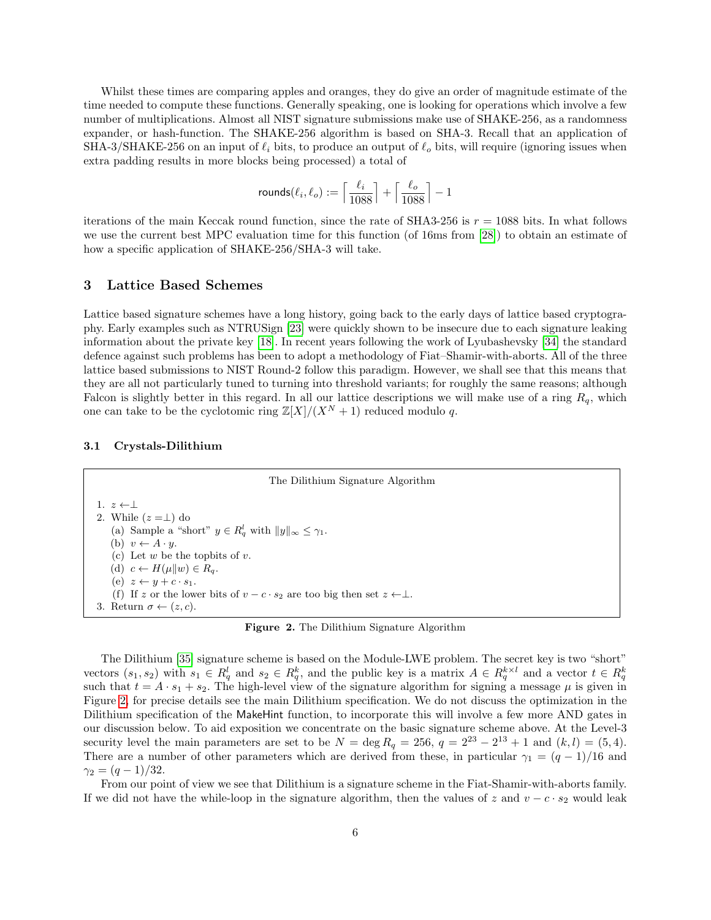Whilst these times are comparing apples and oranges, they do give an order of magnitude estimate of the time needed to compute these functions. Generally speaking, one is looking for operations which involve a few number of multiplications. Almost all NIST signature submissions make use of SHAKE-256, as a randomness expander, or hash-function. The SHAKE-256 algorithm is based on SHA-3. Recall that an application of SHA-3/SHAKE-256 on an input of  $\ell_i$  bits, to produce an output of  $\ell_o$  bits, will require (ignoring issues when extra padding results in more blocks being processed) a total of

$$
\text{{\rm rounds}}(\ell_i,\ell_o):=\Big\lceil\frac{\ell_i}{1088}\Big\rceil+\Big\lceil\frac{\ell_o}{1088}\Big\rceil-1
$$

iterations of the main Keccak round function, since the rate of SHA3-256 is  $r = 1088$  bits. In what follows we use the current best MPC evaluation time for this function (of 16ms from [\[28\]](#page-21-7)) to obtain an estimate of how a specific application of SHAKE-256/SHA-3 will take.

## 3 Lattice Based Schemes

Lattice based signature schemes have a long history, going back to the early days of lattice based cryptography. Early examples such as NTRUSign [\[23\]](#page-21-10) were quickly shown to be insecure due to each signature leaking information about the private key [\[18\]](#page-21-11). In recent years following the work of Lyubashevsky [\[34\]](#page-21-12) the standard defence against such problems has been to adopt a methodology of Fiat–Shamir-with-aborts. All of the three lattice based submissions to NIST Round-2 follow this paradigm. However, we shall see that this means that they are all not particularly tuned to turning into threshold variants; for roughly the same reasons; although Falcon is slightly better in this regard. In all our lattice descriptions we will make use of a ring  $R_q$ , which one can take to be the cyclotomic ring  $\mathbb{Z}[X]/(X^N + 1)$  reduced modulo q.

#### 3.1 Crystals-Dilithium

<span id="page-5-5"></span><span id="page-5-4"></span><span id="page-5-2"></span><span id="page-5-1"></span>The Dilithium Signature Algorithm 1.  $z \leftarrow \perp$ 2. While  $(z = \perp)$  do (a) Sample a "short"  $y \in R_q^l$  with  $||y||_{\infty} \leq \gamma_1$ . (b)  $v \leftarrow A \cdot y$ . (c) Let  $w$  be the topbits of  $v$ . (d)  $c \leftarrow H(\mu||w) \in R_q$ . (e)  $z \leftarrow y + c \cdot s_1$ . (f) If z or the lower bits of  $v - c \cdot s_2$  are too big then set  $z \leftarrow \perp$ . 3. Return  $\sigma \leftarrow (z, c)$ .

<span id="page-5-0"></span>Figure 2. The Dilithium Signature Algorithm

<span id="page-5-6"></span><span id="page-5-3"></span>The Dilithium [\[35\]](#page-21-5) signature scheme is based on the Module-LWE problem. The secret key is two "short" vectors  $(s_1, s_2)$  with  $s_1 \in R_q^l$  and  $s_2 \in R_q^k$ , and the public key is a matrix  $A \in R_q^{k \times l}$  and a vector  $t \in R_q^k$ such that  $t = A \cdot s_1 + s_2$ . The high-level view of the signature algorithm for signing a message  $\mu$  is given in Figure [2,](#page-5-0) for precise details see the main Dilithium specification. We do not discuss the optimization in the Dilithium specification of the MakeHint function, to incorporate this will involve a few more AND gates in our discussion below. To aid exposition we concentrate on the basic signature scheme above. At the Level-3 security level the main parameters are set to be  $N = \deg R_q = 256$ ,  $q = 2^{23} - 2^{13} + 1$  and  $(k, l) = (5, 4)$ . There are a number of other parameters which are derived from these, in particular  $\gamma_1 = (q-1)/16$  and  $\gamma_2 = (q-1)/32$ .

From our point of view we see that Dilithium is a signature scheme in the Fiat-Shamir-with-aborts family. If we did not have the while-loop in the signature algorithm, then the values of z and  $v - c \cdot s_2$  would leak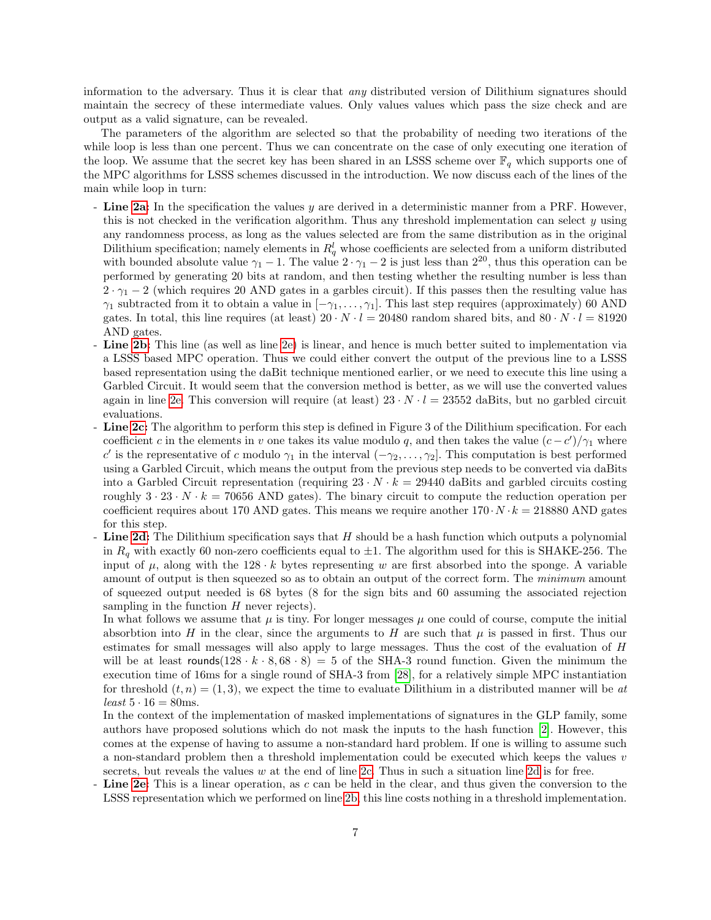information to the adversary. Thus it is clear that any distributed version of Dilithium signatures should maintain the secrecy of these intermediate values. Only values values which pass the size check and are output as a valid signature, can be revealed.

The parameters of the algorithm are selected so that the probability of needing two iterations of the while loop is less than one percent. Thus we can concentrate on the case of only executing one iteration of the loop. We assume that the secret key has been shared in an LSSS scheme over  $\mathbb{F}_q$  which supports one of the MPC algorithms for LSSS schemes discussed in the introduction. We now discuss each of the lines of the main while loop in turn:

- Line [2a:](#page-5-1) In the specification the values y are derived in a deterministic manner from a PRF. However, this is not checked in the verification algorithm. Thus any threshold implementation can select  $y$  using any randomness process, as long as the values selected are from the same distribution as in the original Dilithium specification; namely elements in  $R_q^l$  whose coefficients are selected from a uniform distributed with bounded absolute value  $\gamma_1 - 1$ . The value  $2 \cdot \gamma_1 - 2$  is just less than  $2^{20}$ , thus this operation can be performed by generating 20 bits at random, and then testing whether the resulting number is less than  $2 \cdot \gamma_1 - 2$  (which requires 20 AND gates in a garbles circuit). If this passes then the resulting value has  $\gamma_1$  subtracted from it to obtain a value in  $[-\gamma_1, \ldots, \gamma_l]$ . This last step requires (approximately) 60 AND gates. In total, this line requires (at least)  $20 \cdot N \cdot l = 20480$  random shared bits, and  $80 \cdot N \cdot l = 81920$ AND gates.
- Line [2b:](#page-5-2) This line (as well as line [2e\)](#page-5-3) is linear, and hence is much better suited to implementation via a LSSS based MPC operation. Thus we could either convert the output of the previous line to a LSSS based representation using the daBit technique mentioned earlier, or we need to execute this line using a Garbled Circuit. It would seem that the conversion method is better, as we will use the converted values again in line [2e.](#page-5-3) This conversion will require (at least)  $23 \cdot N \cdot l = 23552$  daBits, but no garbled circuit evaluations.
- Line [2c:](#page-5-4) The algorithm to perform this step is defined in Figure 3 of the Dilithium specification. For each coefficient c in the elements in v one takes its value modulo q, and then takes the value  $(c - c')/\gamma_1$  where c' is the representative of c modulo  $\gamma_1$  in the interval  $(-\gamma_2, \ldots, \gamma_2]$ . This computation is best performed using a Garbled Circuit, which means the output from the previous step needs to be converted via daBits into a Garbled Circuit representation (requiring  $23 \cdot N \cdot k = 29440$  daBits and garbled circuits costing roughly  $3 \cdot 23 \cdot N \cdot k = 70656$  AND gates). The binary circuit to compute the reduction operation per coefficient requires about 170 AND gates. This means we require another  $170 \cdot N \cdot k = 218880$  AND gates for this step.
- Line [2d:](#page-5-5) The Dilithium specification says that  $H$  should be a hash function which outputs a polynomial in  $R_q$  with exactly 60 non-zero coefficients equal to  $\pm 1$ . The algorithm used for this is SHAKE-256. The input of  $\mu$ , along with the 128 · k bytes representing w are first absorbed into the sponge. A variable amount of output is then squeezed so as to obtain an output of the correct form. The minimum amount of squeezed output needed is 68 bytes (8 for the sign bits and 60 assuming the associated rejection sampling in the function  $H$  never rejects).

In what follows we assume that  $\mu$  is tiny. For longer messages  $\mu$  one could of course, compute the initial absorbtion into H in the clear, since the arguments to H are such that  $\mu$  is passed in first. Thus our estimates for small messages will also apply to large messages. Thus the cost of the evaluation of H will be at least rounds( $128 \cdot k \cdot 8, 68 \cdot 8$ ) = 5 of the SHA-3 round function. Given the minimum the execution time of 16ms for a single round of SHA-3 from [\[28\]](#page-21-7), for a relatively simple MPC instantiation for threshold  $(t, n) = (1, 3)$ , we expect the time to evaluate Dilithium in a distributed manner will be at least  $5 \cdot 16 = 80$ ms.

In the context of the implementation of masked implementations of signatures in the GLP family, some authors have proposed solutions which do not mask the inputs to the hash function [\[2\]](#page-20-11). However, this comes at the expense of having to assume a non-standard hard problem. If one is willing to assume such a non-standard problem then a threshold implementation could be executed which keeps the values v secrets, but reveals the values  $w$  at the end of line [2c.](#page-5-4) Thus in such a situation line [2d](#page-5-5) is for free.

Line [2e:](#page-5-3) This is a linear operation, as c can be held in the clear, and thus given the conversion to the LSSS representation which we performed on line [2b,](#page-5-2) this line costs nothing in a threshold implementation.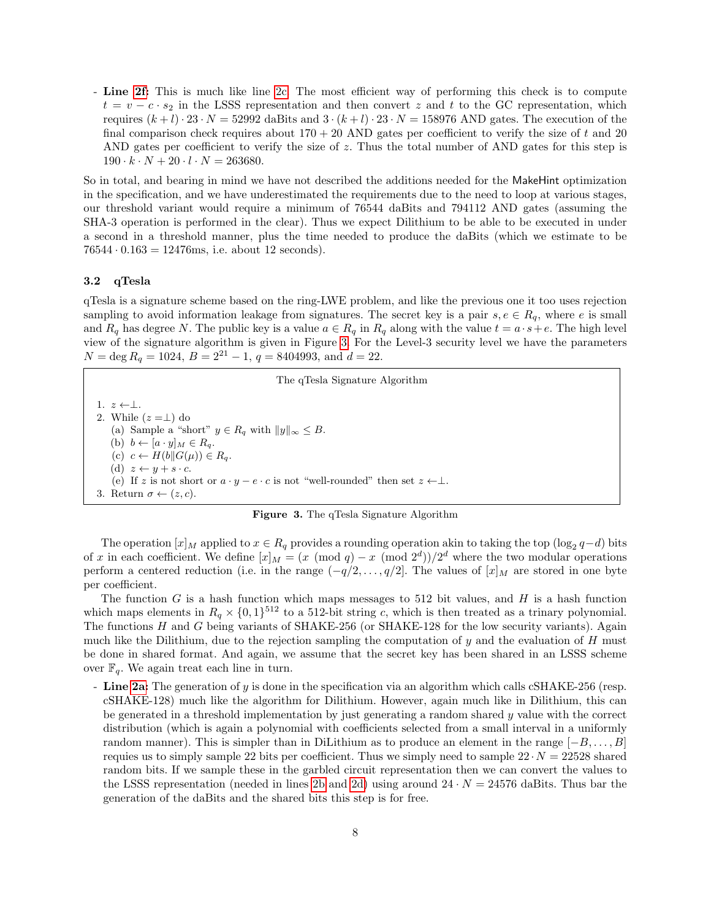- Line [2f:](#page-5-6) This is much like line [2c.](#page-5-4) The most efficient way of performing this check is to compute  $t = v - c \cdot s_2$  in the LSSS representation and then convert z and t to the GC representation, which requires  $(k+l)\cdot 23\cdot N = 52992$  daBits and  $3\cdot (k+l)\cdot 23\cdot N = 158976$  AND gates. The execution of the final comparison check requires about  $170 + 20$  AND gates per coefficient to verify the size of t and 20 AND gates per coefficient to verify the size of  $z$ . Thus the total number of AND gates for this step is  $190 \cdot k \cdot N + 20 \cdot l \cdot N = 263680.$ 

So in total, and bearing in mind we have not described the additions needed for the MakeHint optimization in the specification, and we have underestimated the requirements due to the need to loop at various stages, our threshold variant would require a minimum of 76544 daBits and 794112 AND gates (assuming the SHA-3 operation is performed in the clear). Thus we expect Dilithium to be able to be executed in under a second in a threshold manner, plus the time needed to produce the daBits (which we estimate to be  $76544 \cdot 0.163 = 12476$ ms, i.e. about 12 seconds).

#### 3.2 qTesla

qTesla is a signature scheme based on the ring-LWE problem, and like the previous one it too uses rejection sampling to avoid information leakage from signatures. The secret key is a pair  $s, e \in R_q$ , where e is small and  $R_q$  has degree N. The public key is a value  $a \in R_q$  in  $R_q$  along with the value  $t = a \cdot s + e$ . The high level view of the signature algorithm is given in Figure [3.](#page-7-0) For the Level-3 security level we have the parameters  $N = \text{deg } R_q = 1024, B = 2^{21} - 1, q = 8404993, \text{ and } d = 22.$ 

<span id="page-7-4"></span><span id="page-7-2"></span><span id="page-7-1"></span>The qTesla Signature Algorithm 1.  $z \leftarrow \perp$ . 2. While  $(z = \perp)$  do (a) Sample a "short"  $y \in R_q$  with  $||y||_{\infty} \leq B$ . (b)  $b \leftarrow [a \cdot y]_M \in R_q$ . (c)  $c \leftarrow H(b||G(\mu)) \in R_q$ . (d)  $z \leftarrow y + s \cdot c$ . (e) If z is not short or  $a \cdot y - e \cdot c$  is not "well-rounded" then set  $z \leftarrow \perp$ . 3. Return  $\sigma \leftarrow (z, c)$ .

<span id="page-7-0"></span>Figure 3. The qTesla Signature Algorithm

<span id="page-7-5"></span><span id="page-7-3"></span>The operation  $[x]_M$  applied to  $x \in R_q$  provides a rounding operation akin to taking the top  $(\log_2 q - d)$  bits of x in each coefficient. We define  $[x]_M = (x \pmod{q} - x \pmod{2^d})/2^d$  where the two modular operations perform a centered reduction (i.e. in the range  $(-q/2, \ldots, q/2]$ . The values of  $[x]_M$  are stored in one byte per coefficient.

The function G is a hash function which maps messages to 512 bit values, and H is a hash function which maps elements in  $R_q \times \{0,1\}^{512}$  to a 512-bit string c, which is then treated as a trinary polynomial. The functions H and G being variants of SHAKE-256 (or SHAKE-128 for the low security variants). Again much like the Dilithium, due to the rejection sampling the computation of  $y$  and the evaluation of  $H$  must be done in shared format. And again, we assume that the secret key has been shared in an LSSS scheme over  $\mathbb{F}_q$ . We again treat each line in turn.

- Line [2a:](#page-7-1) The generation of y is done in the specification via an algorithm which calls cSHAKE-256 (resp. cSHAKE-128) much like the algorithm for Dilithium. However, again much like in Dilithium, this can be generated in a threshold implementation by just generating a random shared  $y$  value with the correct distribution (which is again a polynomial with coefficients selected from a small interval in a uniformly random manner). This is simpler than in DiLithium as to produce an element in the range  $[-B, \ldots, B]$ requies us to simply sample 22 bits per coefficient. Thus we simply need to sample  $22 \cdot N = 22528$  shared random bits. If we sample these in the garbled circuit representation then we can convert the values to the LSSS representation (needed in lines [2b](#page-7-2) and [2d\)](#page-7-3) using around  $24 \cdot N = 24576$  daBits. Thus bar the generation of the daBits and the shared bits this step is for free.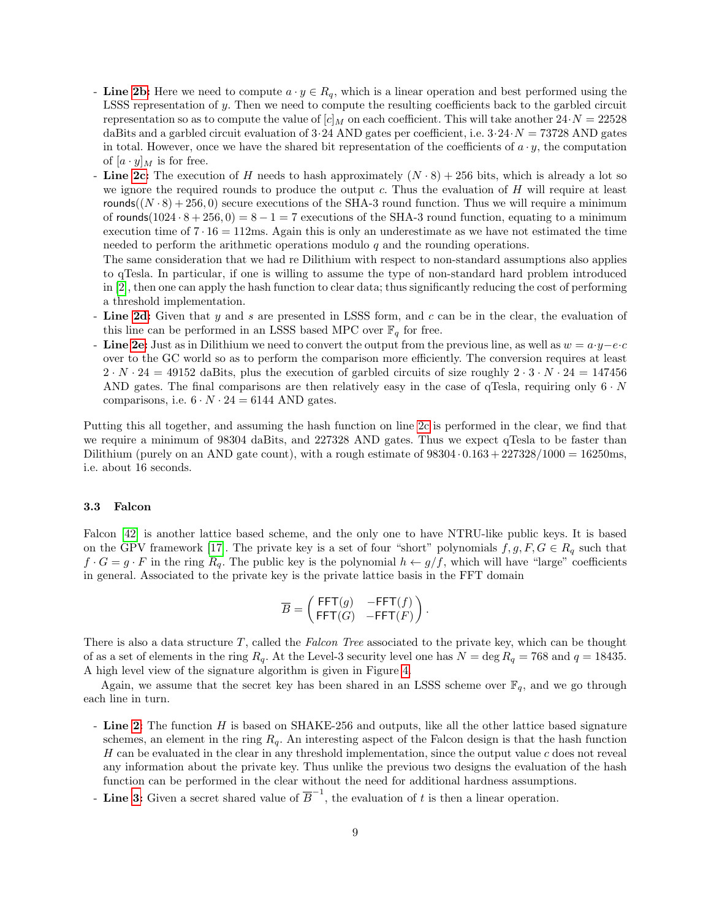- Line [2b:](#page-7-2) Here we need to compute  $a \cdot y \in R_q$ , which is a linear operation and best performed using the LSSS representation of y. Then we need to compute the resulting coefficients back to the garbled circuit representation so as to compute the value of  $[c]_M$  on each coefficient. This will take another  $24\cdot N = 22528$ daBits and a garbled circuit evaluation of  $3.24$  AND gates per coefficient, i.e.  $3.24 \cdot N = 73728$  AND gates in total. However, once we have the shared bit representation of the coefficients of  $a \cdot y$ , the computation of  $[a \cdot y]_M$  is for free.
- Line [2c:](#page-7-4) The execution of H needs to hash approximately  $(N \cdot 8) + 256$  bits, which is already a lot so we ignore the required rounds to produce the output c. Thus the evaluation of  $H$  will require at least rounds( $(N \cdot 8) + 256, 0$ ) secure executions of the SHA-3 round function. Thus we will require a minimum of rounds(1024 ·  $8 + 256, 0 = 8 - 1 = 7$  executions of the SHA-3 round function, equating to a minimum execution time of  $7 \cdot 16 = 112 \text{ms}$ . Again this is only an underestimate as we have not estimated the time needed to perform the arithmetic operations modulo  $q$  and the rounding operations.

The same consideration that we had re Dilithium with respect to non-standard assumptions also applies to qTesla. In particular, if one is willing to assume the type of non-standard hard problem introduced in [\[2\]](#page-20-11), then one can apply the hash function to clear data; thus significantly reducing the cost of performing a threshold implementation.

- Line [2d:](#page-7-3) Given that  $y$  and  $s$  are presented in LSSS form, and  $c$  can be in the clear, the evaluation of this line can be performed in an LSSS based MPC over  $\mathbb{F}_q$  for free.
- **Line [2e:](#page-7-5)** Just as in Dilithium we need to convert the output from the previous line, as well as  $w = a \cdot y e \cdot c$ over to the GC world so as to perform the comparison more efficiently. The conversion requires at least  $2 \cdot N \cdot 24 = 49152$  daBits, plus the execution of garbled circuits of size roughly  $2 \cdot 3 \cdot N \cdot 24 = 147456$ AND gates. The final comparisons are then relatively easy in the case of qTesla, requiring only  $6 \cdot N$ comparisons, i.e.  $6 \cdot N \cdot 24 = 6144$  AND gates.

Putting this all together, and assuming the hash function on line [2c](#page-7-4) is performed in the clear, we find that we require a minimum of 98304 daBits, and 227328 AND gates. Thus we expect qTesla to be faster than Dilithium (purely on an AND gate count), with a rough estimate of  $98304 \cdot 0.163 + 227328/1000 = 16250$ ms, i.e. about 16 seconds.

### 3.3 Falcon

Falcon [\[42\]](#page-22-1) is another lattice based scheme, and the only one to have NTRU-like public keys. It is based on the GPV framework [\[17\]](#page-21-13). The private key is a set of four "short" polynomials  $f, g, F, G \in R_q$  such that  $f \cdot G = g \cdot F$  in the ring  $R_q$ . The public key is the polynomial  $h \leftarrow g/f$ , which will have "large" coefficients in general. Associated to the private key is the private lattice basis in the FFT domain

$$
\overline{B} = \begin{pmatrix} \mathsf{FFT}(g) & -\mathsf{FFT}(f) \\ \mathsf{FFT}(G) & -\mathsf{FFT}(F) \end{pmatrix}.
$$

There is also a data structure  $T$ , called the Falcon Tree associated to the private key, which can be thought of as a set of elements in the ring  $R_q$ . At the Level-3 security level one has  $N = \deg R_q = 768$  and  $q = 18435$ . A high level view of the signature algorithm is given in Figure [4.](#page-9-0)

Again, we assume that the secret key has been shared in an LSSS scheme over  $\mathbb{F}_q$ , and we go through each line in turn.

- Line [2:](#page-9-1) The function H is based on SHAKE-256 and outputs, like all the other lattice based signature schemes, an element in the ring  $R_q$ . An interesting aspect of the Falcon design is that the hash function H can be evaluated in the clear in any threshold implementation, since the output value c does not reveal any information about the private key. Thus unlike the previous two designs the evaluation of the hash function can be performed in the clear without the need for additional hardness assumptions.
- **Line [3:](#page-9-2)** Given a secret shared value of  $\overline{B}^{-1}$ , the evaluation of t is then a linear operation.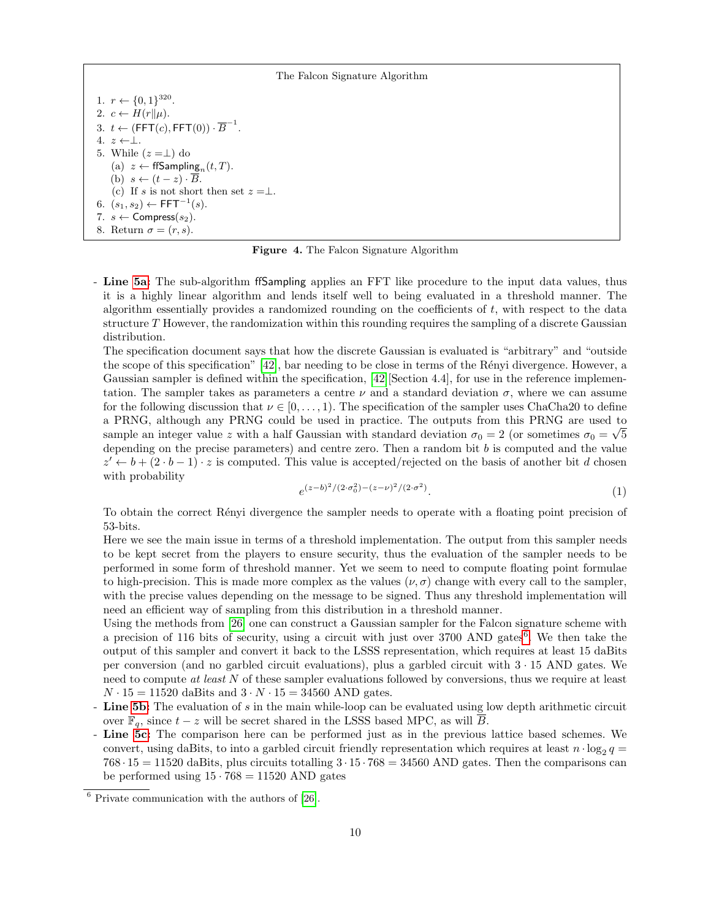The Falcon Signature Algorithm

<span id="page-9-5"></span><span id="page-9-3"></span><span id="page-9-2"></span><span id="page-9-1"></span>1.  $r \leftarrow \{0, 1\}^{320}$ . 2.  $c \leftarrow H(r||\mu)$ . 3.  $t \leftarrow (\mathsf{FFT}(c), \mathsf{FFT}(0)) \cdot \overline{B}^{-1}.$ 4.  $z \leftarrow \perp$ . 5. While  $(z = \perp)$  do (a)  $z \leftarrow \text{ffSampling}_n(t, T)$ . (b)  $s \leftarrow (t - z) \cdot \overline{B}$ . (c) If s is not short then set  $z = \perp$ . 6.  $(s_1, s_2)$  ← FFT<sup>-1</sup> $(s)$ . 7.  $s \leftarrow$  Compress $(s_2)$ . 8. Return  $\sigma = (r, s)$ .

<span id="page-9-0"></span>Figure 4. The Falcon Signature Algorithm

<span id="page-9-8"></span><span id="page-9-7"></span><span id="page-9-6"></span>- Line [5a:](#page-9-3) The sub-algorithm ffSampling applies an FFT like procedure to the input data values, thus it is a highly linear algorithm and lends itself well to being evaluated in a threshold manner. The algorithm essentially provides a randomized rounding on the coefficients of  $t$ , with respect to the data structure T However, the randomization within this rounding requires the sampling of a discrete Gaussian distribution.

The specification document says that how the discrete Gaussian is evaluated is "arbitrary" and "outside the scope of this specification"  $[42]$ , bar needing to be close in terms of the Rényi divergence. However, a Gaussian sampler is defined within the specification, [\[42\]](#page-22-1)[Section 4.4], for use in the reference implementation. The sampler takes as parameters a centre  $\nu$  and a standard deviation  $\sigma$ , where we can assume for the following discussion that  $\nu \in [0, \ldots, 1)$ . The specification of the sampler uses ChaCha20 to define a PRNG, although any PRNG could be used in practice. The outputs from this PRNG are used to √ sample an integer value z with a half Gaussian with standard deviation  $\sigma_0 = 2$  (or sometimes  $\sigma_0 = \sqrt{5}$ depending on the precise parameters) and centre zero. Then a random bit  $b$  is computed and the value  $z' \leftarrow b + (2 \cdot b - 1) \cdot z$  is computed. This value is accepted/rejected on the basis of another bit d chosen with probability

$$
e^{(z-b)^2/(2 \cdot \sigma_0^2) - (z-\nu)^2/(2 \cdot \sigma^2)}.
$$
\n(1)

To obtain the correct Rényi divergence the sampler needs to operate with a floating point precision of 53-bits.

Here we see the main issue in terms of a threshold implementation. The output from this sampler needs to be kept secret from the players to ensure security, thus the evaluation of the sampler needs to be performed in some form of threshold manner. Yet we seem to need to compute floating point formulae to high-precision. This is made more complex as the values  $(\nu, \sigma)$  change with every call to the sampler, with the precise values depending on the message to be signed. Thus any threshold implementation will need an efficient way of sampling from this distribution in a threshold manner.

Using the methods from [\[26\]](#page-21-14) one can construct a Gaussian sampler for the Falcon signature scheme with a precision of 11[6](#page-9-4) bits of security, using a circuit with just over 3700 AND gates<sup>6</sup>. We then take the output of this sampler and convert it back to the LSSS representation, which requires at least 15 daBits per conversion (and no garbled circuit evaluations), plus a garbled circuit with 3 · 15 AND gates. We need to compute at least N of these sampler evaluations followed by conversions, thus we require at least  $N \cdot 15 = 11520$  daBits and  $3 \cdot N \cdot 15 = 34560$  AND gates.

- Line [5b:](#page-9-5) The evaluation of  $s$  in the main while-loop can be evaluated using low depth arithmetic circuit over  $\mathbb{F}_q$ , since  $t - z$  will be secret shared in the LSSS based MPC, as will  $\overline{B}$ .
- Line [5c:](#page-9-6) The comparison here can be performed just as in the previous lattice based schemes. We convert, using daBits, to into a garbled circuit friendly representation which requires at least  $n \cdot \log_2 q =$  $768 \cdot 15 = 11520$  daBits, plus circuits totalling  $3 \cdot 15 \cdot 768 = 34560$  AND gates. Then the comparisons can be performed using  $15 \cdot 768 = 11520$  AND gates

<span id="page-9-4"></span> $6$  Private communication with the authors of [\[26\]](#page-21-14).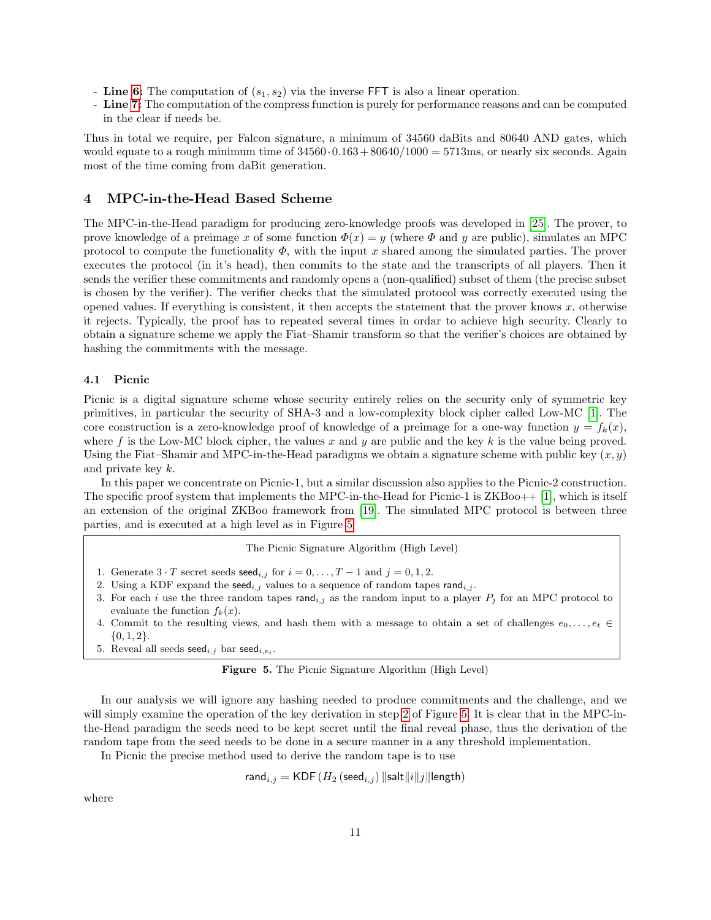- Line [6:](#page-9-7) The computation of  $(s_1, s_2)$  via the inverse FFT is also a linear operation.
- Line [7:](#page-9-8) The computation of the compress function is purely for performance reasons and can be computed in the clear if needs be.

Thus in total we require, per Falcon signature, a minimum of 34560 daBits and 80640 AND gates, which would equate to a rough minimum time of  $34560 \cdot 0.163 + 80640/1000 = 5713$ ms, or nearly six seconds. Again most of the time coming from daBit generation.

### 4 MPC-in-the-Head Based Scheme

The MPC-in-the-Head paradigm for producing zero-knowledge proofs was developed in [\[25\]](#page-21-15). The prover, to prove knowledge of a preimage x of some function  $\Phi(x) = y$  (where  $\Phi$  and y are public), simulates an MPC protocol to compute the functionality  $\Phi$ , with the input x shared among the simulated parties. The prover executes the protocol (in it's head), then commits to the state and the transcripts of all players. Then it sends the verifier these commitments and randomly opens a (non-qualified) subset of them (the precise subset is chosen by the verifier). The verifier checks that the simulated protocol was correctly executed using the opened values. If everything is consistent, it then accepts the statement that the prover knows  $x$ , otherwise it rejects. Typically, the proof has to repeated several times in ordar to achieve high security. Clearly to obtain a signature scheme we apply the Fiat–Shamir transform so that the verifier's choices are obtained by hashing the commitments with the message.

### 4.1 Picnic

Picnic is a digital signature scheme whose security entirely relies on the security only of symmetric key primitives, in particular the security of SHA-3 and a low-complexity block cipher called Low-MC [\[1\]](#page-20-12). The core construction is a zero-knowledge proof of knowledge of a preimage for a one-way function  $y = f_k(x)$ , where f is the Low-MC block cipher, the values x and y are public and the key  $k$  is the value being proved. Using the Fiat–Shamir and MPC-in-the-Head paradigms we obtain a signature scheme with public key  $(x, y)$ and private key k.

In this paper we concentrate on Picnic-1, but a similar discussion also applies to the Picnic-2 construction. The specific proof system that implements the MPC-in-the-Head for Picnic-1 is  $ZKBoo++ [1]$  $ZKBoo++ [1]$ , which is itself an extension of the original ZKBoo framework from [\[19\]](#page-21-16). The simulated MPC protocol is between three parties, and is executed at a high level as in Figure [5](#page-10-0)

The Picnic Signature Algorithm (High Level)

- 1. Generate  $3 \cdot T$  secret seeds seed<sub>i,j</sub> for  $i = 0, \ldots, T 1$  and  $j = 0, 1, 2$ .
- <span id="page-10-1"></span>2. Using a KDF expand the seed<sub>i,j</sub> values to a sequence of random tapes rand<sub>i,j</sub>.
- 3. For each i use the three random tapes rand<sub>i,j</sub> as the random input to a player  $P_i$  for an MPC protocol to evaluate the function  $f_k(x)$ .
- 4. Commit to the resulting views, and hash them with a message to obtain a set of challenges  $e_0, \ldots, e_t \in$  $\{0, 1, 2\}.$
- 5. Reveal all seeds  $\mathsf{seed}_{i,j}$  bar  $\mathsf{seed}_{i,e_i}$ .

<span id="page-10-0"></span>Figure 5. The Picnic Signature Algorithm (High Level)

In our analysis we will ignore any hashing needed to produce commitments and the challenge, and we will simply examine the operation of the key derivation in step [2](#page-10-1) of Figure [5.](#page-10-0) It is clear that in the MPC-inthe-Head paradigm the seeds need to be kept secret until the final reveal phase, thus the derivation of the random tape from the seed needs to be done in a secure manner in a any threshold implementation.

In Picnic the precise method used to derive the random tape is to use

$$
\mathsf{rand}_{i,j} = \mathsf{KDF}\left(H_2\left(\mathsf{seed}_{i,j}\right) \|\mathsf{salt}\|i\|j\|\mathsf{length}\right)
$$

where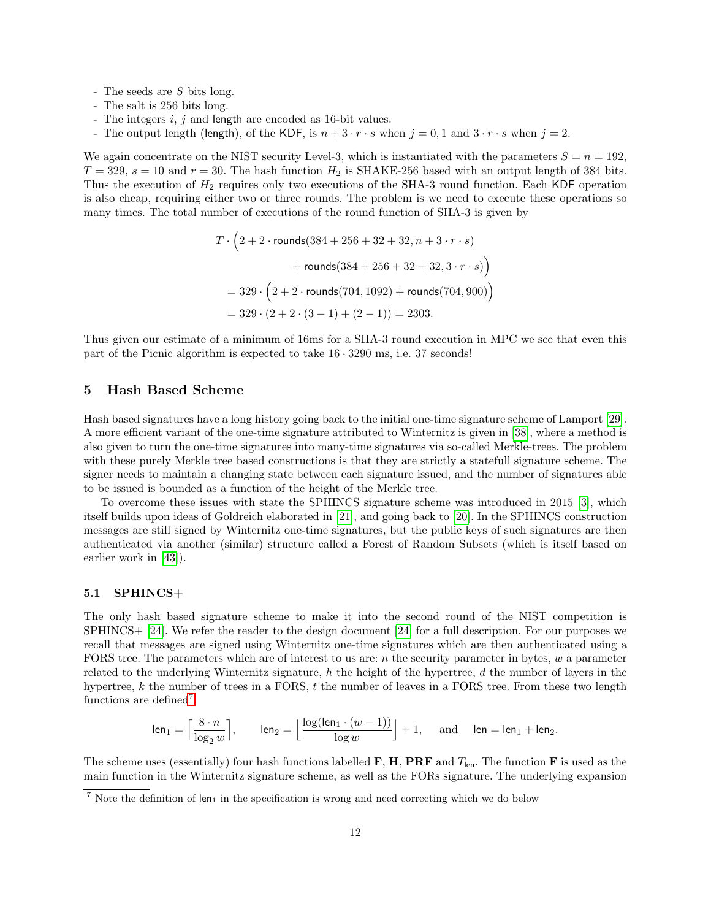- The seeds are S bits long.
- The salt is 256 bits long.
- The integers i, j and length are encoded as 16-bit values.
- The output length (length), of the KDF, is  $n + 3 \cdot r \cdot s$  when  $j = 0, 1$  and  $3 \cdot r \cdot s$  when  $j = 2$ .

We again concentrate on the NIST security Level-3, which is instantiated with the parameters  $S = n = 192$ ,  $T = 329$ ,  $s = 10$  and  $r = 30$ . The hash function  $H_2$  is SHAKE-256 based with an output length of 384 bits. Thus the execution of  $H_2$  requires only two executions of the SHA-3 round function. Each KDF operation is also cheap, requiring either two or three rounds. The problem is we need to execute these operations so many times. The total number of executions of the round function of SHA-3 is given by

$$
T \cdot \left(2 + 2 \cdot \text{rounds}(384 + 256 + 32 + 32, n + 3 \cdot r \cdot s) + \text{rounds}(384 + 256 + 32 + 32, 3 \cdot r \cdot s)\right)
$$
  
= 329 \cdot \left(2 + 2 \cdot \text{rounds}(704, 1092) + \text{rounds}(704, 900)\right)  
= 329 \cdot (2 + 2 \cdot (3 - 1) + (2 - 1)) = 2303.

Thus given our estimate of a minimum of 16ms for a SHA-3 round execution in MPC we see that even this part of the Picnic algorithm is expected to take 16 · 3290 ms, i.e. 37 seconds!

## 5 Hash Based Scheme

Hash based signatures have a long history going back to the initial one-time signature scheme of Lamport [\[29\]](#page-21-17). A more efficient variant of the one-time signature attributed to Winternitz is given in [\[38\]](#page-22-9), where a method is also given to turn the one-time signatures into many-time signatures via so-called Merkle-trees. The problem with these purely Merkle tree based constructions is that they are strictly a statefull signature scheme. The signer needs to maintain a changing state between each signature issued, and the number of signatures able to be issued is bounded as a function of the height of the Merkle tree.

To overcome these issues with state the SPHINCS signature scheme was introduced in 2015 [\[3\]](#page-20-13), which itself builds upon ideas of Goldreich elaborated in [\[21\]](#page-21-18), and going back to [\[20\]](#page-21-19). In the SPHINCS construction messages are still signed by Winternitz one-time signatures, but the public keys of such signatures are then authenticated via another (similar) structure called a Forest of Random Subsets (which is itself based on earlier work in [\[43\]](#page-22-10)).

#### 5.1 SPHINCS+

The only hash based signature scheme to make it into the second round of the NIST competition is SPHINCS+ [\[24\]](#page-21-6). We refer the reader to the design document [\[24\]](#page-21-6) for a full description. For our purposes we recall that messages are signed using Winternitz one-time signatures which are then authenticated using a FORS tree. The parameters which are of interest to us are:  $n$  the security parameter in bytes,  $w$  a parameter related to the underlying Winternitz signature,  $h$  the height of the hypertree,  $d$  the number of layers in the hypertree, k the number of trees in a FORS, t the number of leaves in a FORS tree. From these two length functions are defined<sup>[7](#page-11-0)</sup>

$$
\mathsf{len}_1 = \Big\lceil \frac{8 \cdot n}{\log_2 w} \Big\rceil, \qquad \mathsf{len}_2 = \Big\lfloor \frac{\log(\mathsf{len}_1 \cdot (w-1))}{\log w} \Big\rfloor + 1, \quad \text{ and } \quad \mathsf{len} = \mathsf{len}_1 + \mathsf{len}_2.
$$

The scheme uses (essentially) four hash functions labelled **F**, **H**, **PRF** and  $T_{\text{len}}$ . The function **F** is used as the main function in the Winternitz signature scheme, as well as the FORs signature. The underlying expansion

<span id="page-11-0"></span> $\frac{7}{7}$  Note the definition of len<sub>1</sub> in the specification is wrong and need correcting which we do below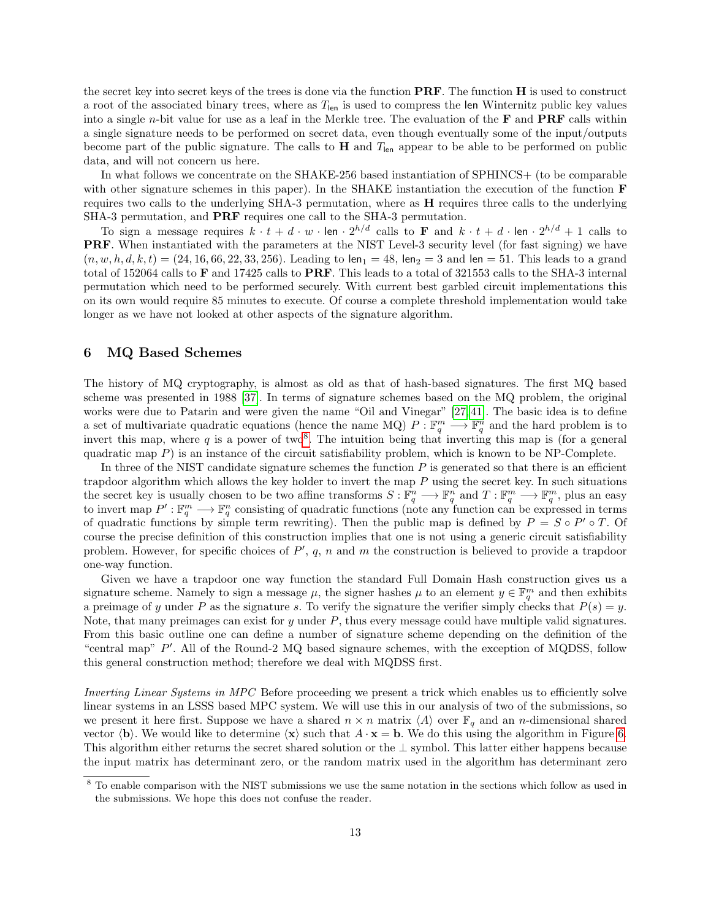the secret key into secret keys of the trees is done via the function  $\mathbf{PRF}$ . The function  $\mathbf H$  is used to construct a root of the associated binary trees, where as  $T_{\rm len}$  is used to compress the len Winternitz public key values into a single *n*-bit value for use as a leaf in the Merkle tree. The evaluation of the  $\bf{F}$  and  $\bf{PRF}$  calls within a single signature needs to be performed on secret data, even though eventually some of the input/outputs become part of the public signature. The calls to  $H$  and  $T_{len}$  appear to be able to be performed on public data, and will not concern us here.

In what follows we concentrate on the SHAKE-256 based instantiation of SPHINCS+ (to be comparable with other signature schemes in this paper). In the SHAKE instantiation the execution of the function **F** requires two calls to the underlying SHA-3 permutation, where as  $H$  requires three calls to the underlying SHA-3 permutation, and PRF requires one call to the SHA-3 permutation.

To sign a message requires  $k \cdot t + d \cdot w \cdot \text{len} \cdot 2^{h/d}$  calls to **F** and  $k \cdot t + d \cdot \text{len} \cdot 2^{h/d} + 1$  calls to PRF. When instantiated with the parameters at the NIST Level-3 security level (for fast signing) we have  $(n, w, h, d, k, t) = (24, 16, 66, 22, 33, 256)$ . Leading to len<sub>1</sub> = 48, len<sub>2</sub> = 3 and len = 51. This leads to a grand total of 152064 calls to F and 17425 calls to PRF. This leads to a total of 321553 calls to the SHA-3 internal permutation which need to be performed securely. With current best garbled circuit implementations this on its own would require 85 minutes to execute. Of course a complete threshold implementation would take longer as we have not looked at other aspects of the signature algorithm.

## 6 MQ Based Schemes

The history of MQ cryptography, is almost as old as that of hash-based signatures. The first MQ based scheme was presented in 1988 [\[37\]](#page-21-20). In terms of signature schemes based on the MQ problem, the original works were due to Patarin and were given the name "Oil and Vinegar" [\[27,](#page-21-21) [41\]](#page-22-11). The basic idea is to define a set of multivariate quadratic equations (hence the name MQ)  $P: \mathbb{F}_q^m \longrightarrow \mathbb{F}_q^n$  and the hard problem is to invert this map, where q is a power of two<sup>[8](#page-12-0)</sup>. The intuition being that inverting this map is (for a general quadratic map  $P$ ) is an instance of the circuit satisfiability problem, which is known to be NP-Complete.

In three of the NIST candidate signature schemes the function  $P$  is generated so that there is an efficient trapdoor algorithm which allows the key holder to invert the map  $P$  using the secret key. In such situations the secret key is usually chosen to be two affine transforms  $S: \mathbb{F}_q^n \longrightarrow \mathbb{F}_q^n$  and  $T: \mathbb{F}_q^m \longrightarrow \mathbb{F}_q^m$ , plus an easy to invert map  $P': \mathbb{F}_q^m \longrightarrow \mathbb{F}_q^n$  consisting of quadratic functions (note any function can be expressed in terms of quadratic functions by simple term rewriting). Then the public map is defined by  $P = S \circ P' \circ T$ . Of course the precise definition of this construction implies that one is not using a generic circuit satisfiability problem. However, for specific choices of  $P'$ ,  $q$ ,  $n$  and  $m$  the construction is believed to provide a trapdoor one-way function.

Given we have a trapdoor one way function the standard Full Domain Hash construction gives us a signature scheme. Namely to sign a message  $\mu$ , the signer hashes  $\mu$  to an element  $y \in \mathbb{F}_q^m$  and then exhibits a preimage of y under P as the signature s. To verify the signature the verifier simply checks that  $P(s) = y$ . Note, that many preimages can exist for  $y$  under  $P$ , thus every message could have multiple valid signatures. From this basic outline one can define a number of signature scheme depending on the definition of the "central map" P'. All of the Round-2 MQ based signaure schemes, with the exception of MQDSS, follow this general construction method; therefore we deal with MQDSS first.

Inverting Linear Systems in MPC Before proceeding we present a trick which enables us to efficiently solve linear systems in an LSSS based MPC system. We will use this in our analysis of two of the submissions, so we present it here first. Suppose we have a shared  $n \times n$  matrix  $\langle A \rangle$  over  $\mathbb{F}_q$  and an n-dimensional shared vector  $\langle \mathbf{b} \rangle$ . We would like to determine  $\langle \mathbf{x} \rangle$  such that  $A \cdot \mathbf{x} = \mathbf{b}$ . We do this using the algorithm in Figure [6.](#page-13-0) This algorithm either returns the secret shared solution or the ⊥ symbol. This latter either happens because the input matrix has determinant zero, or the random matrix used in the algorithm has determinant zero

<span id="page-12-0"></span><sup>8</sup> To enable comparison with the NIST submissions we use the same notation in the sections which follow as used in the submissions. We hope this does not confuse the reader.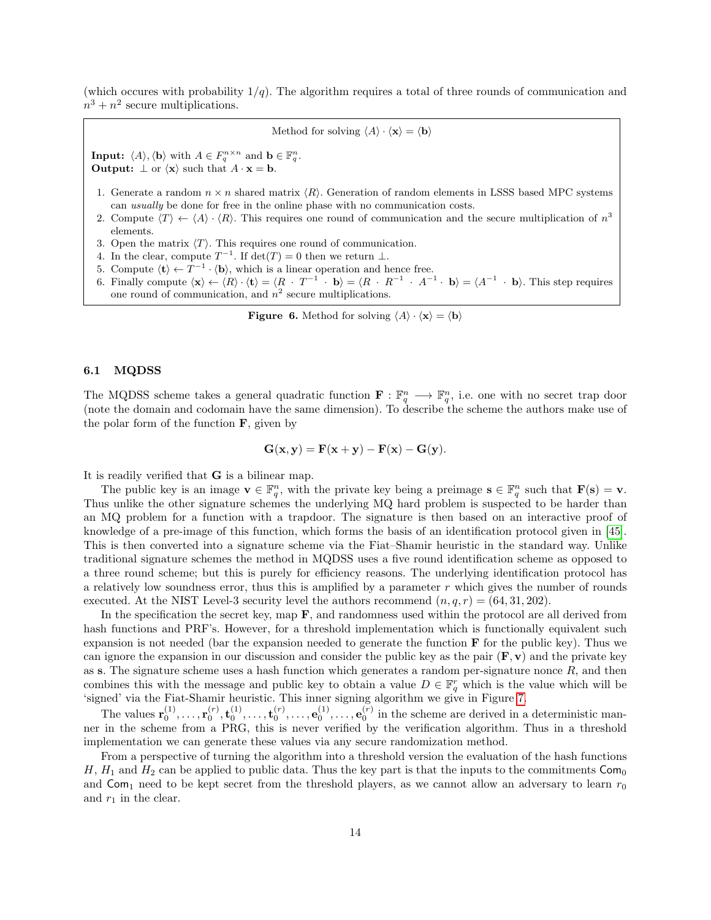(which occures with probability  $1/q$ ). The algorithm requires a total of three rounds of communication and  $n^3 + n^2$  secure multiplications.

Method for solving  $\langle A \rangle \cdot \langle \mathbf{x} \rangle = \langle \mathbf{b} \rangle$ 

**Input:**  $\langle A \rangle$ ,  $\langle \mathbf{b} \rangle$  with  $A \in F_q^{n \times n}$  and  $\mathbf{b} \in \mathbb{F}_q^n$ . **Output:**  $\perp$  or  $\langle x \rangle$  such that  $A \cdot x = b$ .

- 1. Generate a random  $n \times n$  shared matrix  $\langle R \rangle$ . Generation of random elements in LSSS based MPC systems can usually be done for free in the online phase with no communication costs.
- 2. Compute  $\langle T \rangle \leftarrow \langle A \rangle \cdot \langle R \rangle$ . This requires one round of communication and the secure multiplication of  $n^3$ elements.
- 3. Open the matrix  $\langle T \rangle$ . This requires one round of communication.
- 4. In the clear, compute  $T^{-1}$ . If  $\det(T) = 0$  then we return  $\perp$ .
- 5. Compute  $\langle \mathbf{t} \rangle \leftarrow T^{-1} \cdot \langle \mathbf{b} \rangle$ , which is a linear operation and hence free.
- 6. Finally compute  $\langle x \rangle \leftarrow \langle R \rangle \cdot \langle t \rangle = \langle R \cdot T^{-1} \cdot b \rangle = \langle R \cdot R^{-1} \cdot A^{-1} \cdot b \rangle = \langle A^{-1} \cdot b \rangle$ . This step requires one round of communication, and  $n^2$  secure multiplications.

<span id="page-13-0"></span>**Figure 6.** Method for solving  $\langle A \rangle \cdot \langle \mathbf{x} \rangle = \langle \mathbf{b} \rangle$ 

### 6.1 MQDSS

The MQDSS scheme takes a general quadratic function  $\mathbf{F} : \mathbb{F}_q^n \longrightarrow \mathbb{F}_q^n$ , i.e. one with no secret trap door (note the domain and codomain have the same dimension). To describe the scheme the authors make use of the polar form of the function  $\bf{F}$ , given by

$$
\mathbf{G}(\mathbf{x}, \mathbf{y}) = \mathbf{F}(\mathbf{x} + \mathbf{y}) - \mathbf{F}(\mathbf{x}) - \mathbf{G}(\mathbf{y}).
$$

It is readily verified that G is a bilinear map.

The public key is an image  $\mathbf{v} \in \mathbb{F}_q^n$ , with the private key being a preimage  $\mathbf{s} \in \mathbb{F}_q^n$  such that  $\mathbf{F}(\mathbf{s}) = \mathbf{v}$ . Thus unlike the other signature schemes the underlying MQ hard problem is suspected to be harder than an MQ problem for a function with a trapdoor. The signature is then based on an interactive proof of knowledge of a pre-image of this function, which forms the basis of an identification protocol given in [\[45\]](#page-22-12). This is then converted into a signature scheme via the Fiat–Shamir heuristic in the standard way. Unlike traditional signature schemes the method in MQDSS uses a five round identification scheme as opposed to a three round scheme; but this is purely for efficiency reasons. The underlying identification protocol has a relatively low soundness error, thus this is amplified by a parameter  $r$  which gives the number of rounds executed. At the NIST Level-3 security level the authors recommend  $(n, q, r) = (64, 31, 202)$ .

In the specification the secret key, map  $\mathbf{F}$ , and randomness used within the protocol are all derived from hash functions and PRF's. However, for a threshold implementation which is functionally equivalent such expansion is not needed (bar the expansion needed to generate the function  $\bf{F}$  for the public key). Thus we can ignore the expansion in our discussion and consider the public key as the pair  $(F, v)$  and the private key as s. The signature scheme uses a hash function which generates a random per-signature nonce  $R$ , and then combines this with the message and public key to obtain a value  $D \in \mathbb{F}_q^r$  which is the value which will be 'signed' via the Fiat-Shamir heuristic. This inner signing algorithm we give in Figure [7.](#page-14-0)

The values  $\mathbf{r}_0^{(1)}, \ldots, \mathbf{r}_0^{(r)}, \mathbf{t}_0^{(1)}, \ldots, \mathbf{t}_0^{(r)}, \ldots, \mathbf{e}_0^{(1)}, \ldots, \mathbf{e}_0^{(r)}$  in the scheme are derived in a deterministic manner in the scheme from a PRG, this is never verified by the verification algorithm. Thus in a threshold implementation we can generate these values via any secure randomization method.

From a perspective of turning the algorithm into a threshold version the evaluation of the hash functions H,  $H_1$  and  $H_2$  can be applied to public data. Thus the key part is that the inputs to the commitments  $\text{Com}_0$ and  $Com_1$  need to be kept secret from the threshold players, as we cannot allow an adversary to learn  $r_0$ and  $r_1$  in the clear.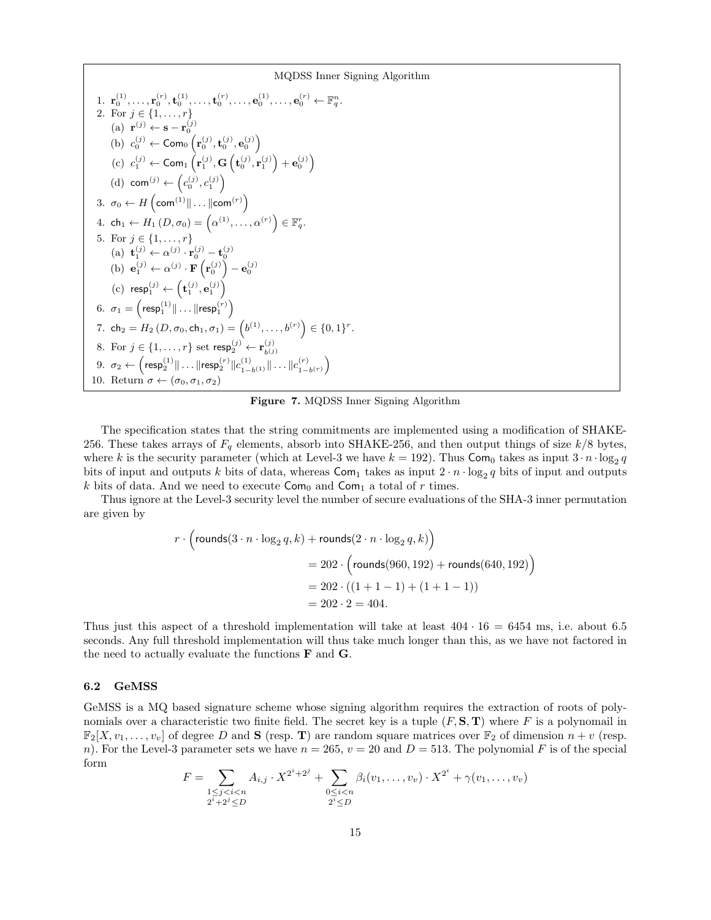MQDSS Inner Signing Algorithm  $1. \; \mathbf{r}_0^{(1)}, \ldots, \mathbf{r}_0^{(r)}, \mathbf{t}_0^{(1)}, \ldots, \mathbf{t}_0^{(r)}, \ldots, \mathbf{e}_0^{(1)}, \ldots, \mathbf{e}_0^{(r)} \leftarrow \mathbb{F}_q^n.$ 2. For  $j \in \{1, ..., r\}$ (a)  $\mathbf{r}^{(j)} \leftarrow \mathbf{s} - \mathbf{r}_0^{(j)}$ (b)  $c_0^{(j)} \leftarrow \textsf{Com}_0\left(\mathbf{r}_0^{(j)}, \mathbf{t}_0^{(j)}, \mathbf{e}_0^{(j)}\right)$ (c)  $c_1^{(j)} \leftarrow \textsf{Com}_1\left(\mathbf{r}_1^{(j)}, \mathbf{G}\left(\mathbf{t}_0^{(j)}, \mathbf{r}_1^{(j)}\right) + \mathbf{e}_0^{(j)}\right)$ (d) com<sup>(j)</sup>  $\leftarrow$   $\left(c_0^{(j)}, c_1^{(j)}\right)$ 3.  $\sigma_0 \leftarrow H\left(\mathsf{com}^{(1)} \| \dots \| \mathsf{com}^{(r)} \right)$ 4. ch<sub>1</sub>  $\leftarrow$   $H_1(D,\sigma_0) = (\alpha^{(1)}, \ldots, \alpha^{(r)}) \in \mathbb{F}_q^r$ . 5. For  $j \in \{1, ..., r\}$ (a)  $\mathbf{t}_1^{(j)} \leftarrow \alpha^{(j)} \cdot \mathbf{r}_0^{(j)} - \mathbf{t}_0^{(j)}$ (b)  $\mathbf{e}_1^{(j)} \leftarrow \alpha^{(j)} \cdot \mathbf{F} \left( \mathbf{r}_0^{(j)} \right) - \mathbf{e}_0^{(j)}$ (c)  $\text{resp}_1^{(j)} \leftarrow (\mathbf{t}_1^{(j)}, \mathbf{e}_1^{(j)})$  $6. \ \ \sigma_1 = \left(\mathsf{resp}_1^{(1)} \| \ldots \| \mathsf{resp}_1^{(r)} \right)$ 7. ch<sub>2</sub> =  $H_2(D, \sigma_0, ch_1, \sigma_1) = (b^{(1)}, \ldots, b^{(r)}) \in \{0, 1\}^r$ . 8. For  $j \in \{1, \ldots, r\}$  set  $\mathsf{resp}_2^{(j)} \leftarrow \mathbf{r}_{h(j)}^{(j)}$  $_{b(j)}$  $9. \ \ \sigma_2 \leftarrow \left(\mathsf{resp}_2^{(1)} \| \ldots \| \mathsf{resp}_2^{(r)} \| c_{1}^{(1)} \right)$  $\|c_{1-b^{(1)}}^{(1)}\| \ldots \|c_{1-b}^{(r)}$  $\binom{(r)}{1-b^{(r)}}$ 10. Return  $\sigma \leftarrow (\sigma_0, \sigma_1, \sigma_2)$ 

<span id="page-14-0"></span>Figure 7. MQDSS Inner Signing Algorithm

The specification states that the string commitments are implemented using a modification of SHAKE-256. These takes arrays of  $F_q$  elements, absorb into SHAKE-256, and then output things of size  $k/8$  bytes, where k is the security parameter (which at Level-3 we have  $k = 192$ ). Thus  $Com_0$  takes as input  $3 \cdot n \cdot \log_2 q$ bits of input and outputs k bits of data, whereas  $\textsf{Com}_1$  takes as input  $2 \cdot n \cdot \log_2 q$  bits of input and outputs k bits of data. And we need to execute  $\textsf{Com}_0$  and  $\textsf{Com}_1$  a total of r times.

Thus ignore at the Level-3 security level the number of secure evaluations of the SHA-3 inner permutation are given by

$$
r \cdot \left(\text{rounds}(3 \cdot n \cdot \log_2 q, k) + \text{rounds}(2 \cdot n \cdot \log_2 q, k)\right)
$$
  
= 202 \cdot \left(\text{rounds}(960, 192) + \text{rounds}(640, 192)\right)  
= 202 \cdot \left((1 + 1 - 1) + (1 + 1 - 1)\right)  
= 202 \cdot 2 = 404.

Thus just this aspect of a threshold implementation will take at least  $404 \cdot 16 = 6454$  ms, i.e. about 6.5 seconds. Any full threshold implementation will thus take much longer than this, as we have not factored in the need to actually evaluate the functions  $\bf{F}$  and  $\bf{G}$ .

#### 6.2 GeMSS

GeMSS is a MQ based signature scheme whose signing algorithm requires the extraction of roots of polynomials over a characteristic two finite field. The secret key is a tuple  $(F, S, T)$  where F is a polynomail in  $\mathbb{F}_2[X, v_1, \ldots, v_v]$  of degree D and **S** (resp. **T**) are random square matrices over  $\mathbb{F}_2$  of dimension  $n+v$  (resp. n). For the Level-3 parameter sets we have  $n = 265$ ,  $v = 20$  and  $D = 513$ . The polynomial F is of the special form

$$
F = \sum_{\substack{1 \le j < i < n \\ 2^i + 2^j \le D}} A_{i,j} \cdot X^{2^i + 2^j} + \sum_{\substack{0 \le i < n \\ 2^i \le D}} \beta_i (v_1, \dots, v_v) \cdot X^{2^i} + \gamma(v_1, \dots, v_v)
$$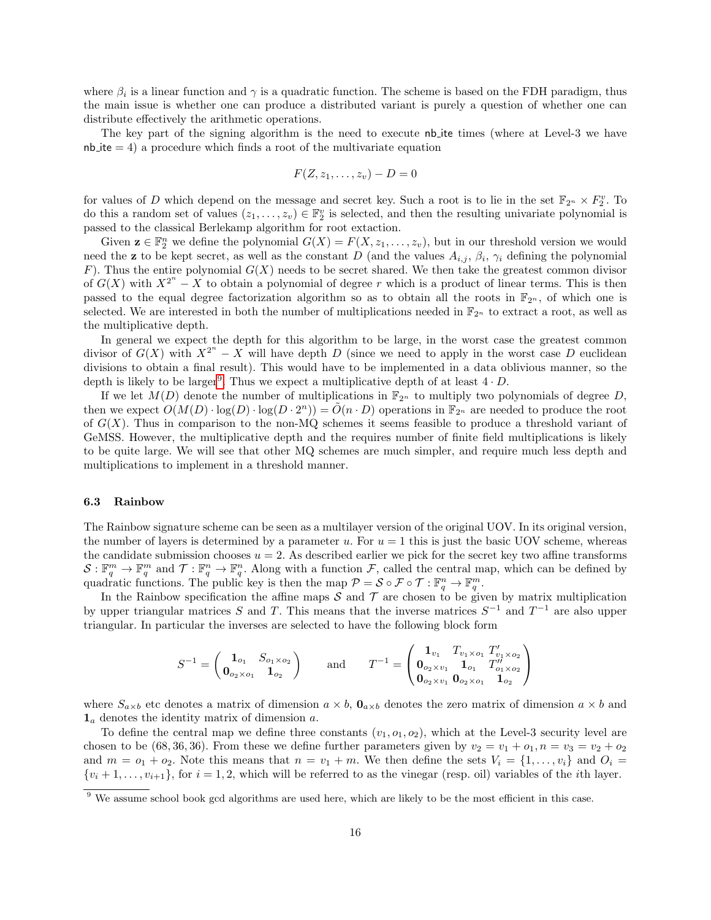where  $\beta_i$  is a linear function and  $\gamma$  is a quadratic function. The scheme is based on the FDH paradigm, thus the main issue is whether one can produce a distributed variant is purely a question of whether one can distribute effectively the arithmetic operations.

The key part of the signing algorithm is the need to execute nb ite times (where at Level-3 we have  $nb$  ite  $= 4$ ) a procedure which finds a root of the multivariate equation

$$
F(Z,z_1,\ldots,z_v)-D=0
$$

for values of D which depend on the message and secret key. Such a root is to lie in the set  $\mathbb{F}_{2^n} \times F_2^v$ . To do this a random set of values  $(z_1, \ldots, z_v) \in \mathbb{F}_2^v$  is selected, and then the resulting univariate polynomial is passed to the classical Berlekamp algorithm for root extaction.

Given  $\mathbf{z} \in \mathbb{F}_2^n$  we define the polynomial  $G(X) = F(X, z_1, \ldots, z_v)$ , but in our threshold version we would need the **z** to be kept secret, as well as the constant D (and the values  $A_{i,j}$ ,  $\beta_i$ ,  $\gamma_i$  defining the polynomial F). Thus the entire polynomial  $G(X)$  needs to be secret shared. We then take the greatest common divisor of  $G(X)$  with  $X^{2^n} - X$  to obtain a polynomial of degree r which is a product of linear terms. This is then passed to the equal degree factorization algorithm so as to obtain all the roots in  $\mathbb{F}_{2^n}$ , of which one is selected. We are interested in both the number of multiplications needed in  $\mathbb{F}_{2^n}$  to extract a root, as well as the multiplicative depth.

In general we expect the depth for this algorithm to be large, in the worst case the greatest common divisor of  $G(X)$  with  $X^{2^n} - X$  will have depth D (since we need to apply in the worst case D euclidean divisions to obtain a final result). This would have to be implemented in a data oblivious manner, so the depth is likely to be larger<sup>[9](#page-15-0)</sup>. Thus we expect a multiplicative depth of at least  $4 \cdot D$ .

If we let  $M(D)$  denote the number of multiplications in  $\mathbb{F}_{2^n}$  to multiply two polynomials of degree D, then we expect  $O(M(D) \cdot \log(D) \cdot \log(D \cdot 2^n)) = \tilde{O}(n \cdot D)$  operations in  $\mathbb{F}_{2^n}$  are needed to produce the root of  $G(X)$ . Thus in comparison to the non-MQ schemes it seems feasible to produce a threshold variant of GeMSS. However, the multiplicative depth and the requires number of finite field multiplications is likely to be quite large. We will see that other MQ schemes are much simpler, and require much less depth and multiplications to implement in a threshold manner.

#### 6.3 Rainbow

The Rainbow signature scheme can be seen as a multilayer version of the original UOV. In its original version, the number of layers is determined by a parameter u. For  $u = 1$  this is just the basic UOV scheme, whereas the candidate submission chooses  $u = 2$ . As described earlier we pick for the secret key two affine transforms  $\mathcal{S}: \mathbb{F}_q^m \to \mathbb{F}_q^m$  and  $\mathcal{T}: \mathbb{F}_q^n \to \mathbb{F}_q^n$ . Along with a function  $\mathcal{F}$ , called the central map, which can be defined by quadratic functions. The public key is then the map  $\mathcal{P} = \mathcal{S} \circ \mathcal{F} \circ \mathcal{T} : \mathbb{F}_q^n \to \mathbb{F}_q^m$ .

In the Rainbow specification the affine maps  $S$  and  $T$  are chosen to be given by matrix multiplication by upper triangular matrices S and T. This means that the inverse matrices  $S^{-1}$  and  $T^{-1}$  are also upper triangular. In particular the inverses are selected to have the following block form

$$
S^{-1} = \begin{pmatrix} \mathbf{1}_{o_1} & S_{o_1 \times o_2} \\ \mathbf{0}_{o_2 \times o_1} & \mathbf{1}_{o_2} \end{pmatrix} \qquad \text{and} \qquad T^{-1} = \begin{pmatrix} \mathbf{1}_{v_1} & T_{v_1 \times o_1} & T'_{v_1 \times o_2} \\ \mathbf{0}_{o_2 \times v_1} & \mathbf{1}_{o_1} & T''_{o_1 \times o_2} \\ \mathbf{0}_{o_2 \times v_1} & \mathbf{0}_{o_2 \times o_1} & \mathbf{1}_{o_2} \end{pmatrix}
$$

where  $S_{a\times b}$  etc denotes a matrix of dimension  $a\times b$ ,  $\mathbf{0}_{a\times b}$  denotes the zero matrix of dimension  $a\times b$  and  $\mathbf{1}_a$  denotes the identity matrix of dimension a.

To define the central map we define three constants  $(v_1, o_1, o_2)$ , which at the Level-3 security level are chosen to be (68, 36, 36). From these we define further parameters given by  $v_2 = v_1 + o_1$ ,  $n = v_3 = v_2 + o_2$ and  $m = o_1 + o_2$ . Note this means that  $n = v_1 + m$ . We then define the sets  $V_i = \{1, \ldots, v_i\}$  and  $O_i =$  $\{v_i+1,\ldots,v_{i+1}\}\text{, for }i=1,2\text{, which will be referred to as the vinegar (resp. oil) variables of the *i*th layer.}$ 

<span id="page-15-0"></span><sup>&</sup>lt;sup>9</sup> We assume school book gcd algorithms are used here, which are likely to be the most efficient in this case.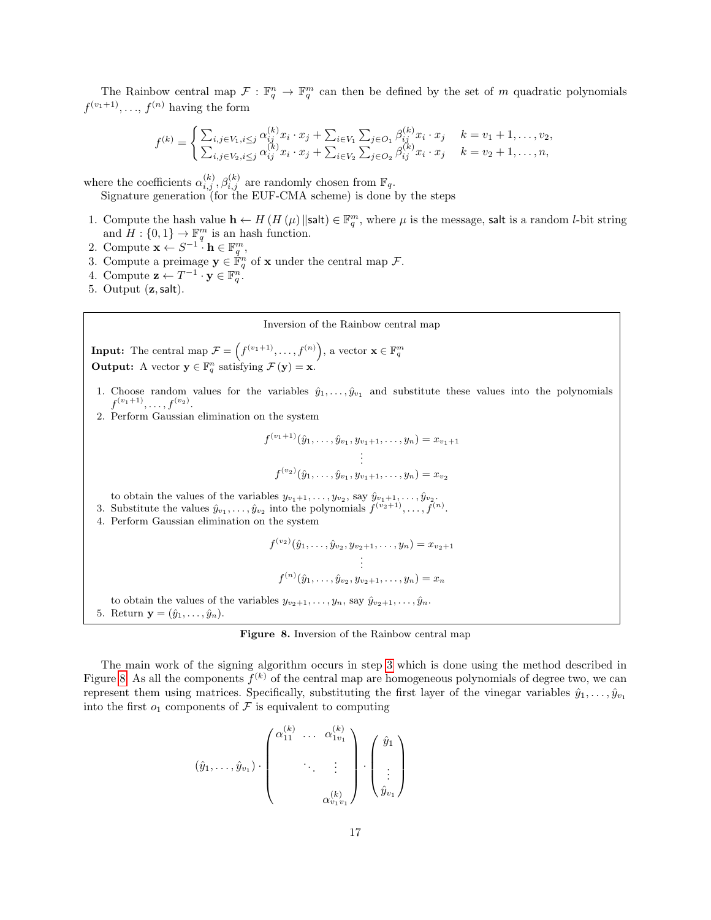The Rainbow central map  $\mathcal{F}: \mathbb{F}_q^n \to \mathbb{F}_q^m$  can then be defined by the set of m quadratic polynomials  $f^{(v_1+1)}, \ldots, f^{(n)}$  having the form

$$
f^{(k)} = \begin{cases} \sum_{i,j \in V_1, i \leq j} \alpha_{ij}^{(k)} x_i \cdot x_j + \sum_{i \in V_1} \sum_{j \in O_1} \beta_{ij}^{(k)} x_i \cdot x_j & k = v_1 + 1, \dots, v_2, \\ \sum_{i,j \in V_2, i \leq j} \alpha_{ij}^{(k)} x_i \cdot x_j + \sum_{i \in V_2} \sum_{j \in O_2} \beta_{ij}^{(k)} x_i \cdot x_j & k = v_2 + 1, \dots, n, \end{cases}
$$

where the coefficients  $\alpha_{i,j}^{(k)}$ ,  $\beta_{i,j}^{(k)}$  are randomly chosen from  $\mathbb{F}_q$ .

Signature generation (for the EUF-CMA scheme) is done by the steps

- 1. Compute the hash value  $\mathbf{h} \leftarrow H(H(\mu) \|\mathsf{salt}) \in \mathbb{F}_q^m$ , where  $\mu$  is the message, salt is a random *l*-bit string Compute the hash value  $\mathbf{n} \leftarrow H$  (*H* ( $\mu$ ) sait)  $\in \mathbb{F}_q$ <br>and  $H : \{0,1\} \rightarrow \mathbb{F}_q^m$  is an hash function.
- 2. Compute  $\mathbf{x} \leftarrow S^{-1} \cdot \mathbf{h} \in \mathbb{F}_q^m$ ,
- <span id="page-16-0"></span>3. Compute a preimage  $y \in \mathbb{F}_q^n$  of x under the central map  $\mathcal{F}$ .
- 4. Compute  $\mathbf{z} \leftarrow T^{-1} \cdot \mathbf{y} \in \mathbb{F}_q^n$ .
- 5. Output (z,salt).

#### Inversion of the Rainbow central map

**Input:** The central map  $\mathcal{F} = \left( f^{(v_1+1)}, \ldots, f^{(n)} \right)$ , a vector  $\mathbf{x} \in \mathbb{F}_q^m$ **Output:** A vector  $y \in \mathbb{F}_q^n$  satisfying  $\mathcal{F}(y) = x$ .

- 1. Choose random values for the variables  $\hat{y}_1, \ldots, \hat{y}_{v_1}$  and substitute these values into the polynomials  $f^{(v_1+1)}, \ldots, f^{(v_2)}.$
- 2. Perform Gaussian elimination on the system

$$
f^{(v_1+1)}(\hat{y}_1,\ldots,\hat{y}_{v_1},y_{v_1+1},\ldots,y_n) = x_{v_1+1}
$$

$$
\vdots
$$

$$
f^{(v_2)}(\hat{y}_1,\ldots,\hat{y}_{v_1},y_{v_1+1},\ldots,y_n) = x_{v_2}
$$

to obtain the values of the variables  $y_{v_1+1}, \ldots, y_{v_2}$ , say  $\hat{y}_{v_1+1}, \ldots, \hat{y}_{v_2}$ .

- 3. Substitute the values  $\hat{y}_{v_1}, \ldots, \hat{y}_{v_2}$  into the polynomials  $f^{(v_2+1)}, \ldots, f^{(n)}$ .
- 4. Perform Gaussian elimination on the system

$$
f^{(v_2)}(\hat{y}_1,\ldots,\hat{y}_{v_2},y_{v_2+1},\ldots,y_n) = x_{v_2+1}
$$

$$
\vdots
$$

$$
f^{(n)}(\hat{y}_1,\ldots,\hat{y}_{v_2},y_{v_2+1},\ldots,y_n) = x_n
$$

to obtain the values of the variables  $y_{v_2+1}, \ldots, y_n$ , say  $\hat{y}_{v_2+1}, \ldots, \hat{y}_n$ . 5. Return  $\mathbf{y} = (\hat{y}_1, \ldots, \hat{y}_n)$ .

<span id="page-16-1"></span>Figure 8. Inversion of the Rainbow central map

The main work of the signing algorithm occurs in step [3](#page-16-0) which is done using the method described in Figure [8.](#page-16-1) As all the components  $f^{(k)}$  of the central map are homogeneous polynomials of degree two, we can represent them using matrices. Specifically, substituting the first layer of the vinegar variables  $\hat{y}_1, \ldots, \hat{y}_{v_1}$ into the first  $o_1$  components of F is equivalent to computing

$$
(\hat{y}_1, \ldots, \hat{y}_{v_1}) \cdot \begin{pmatrix} \alpha_{11}^{(k)} & \cdots & \alpha_{1v_1}^{(k)} \\ & \ddots & \vdots \\ & & \alpha_{v_1v_1}^{(k)} \end{pmatrix} \cdot \begin{pmatrix} \hat{y}_1 \\ \vdots \\ \hat{y}_{v_1} \end{pmatrix}
$$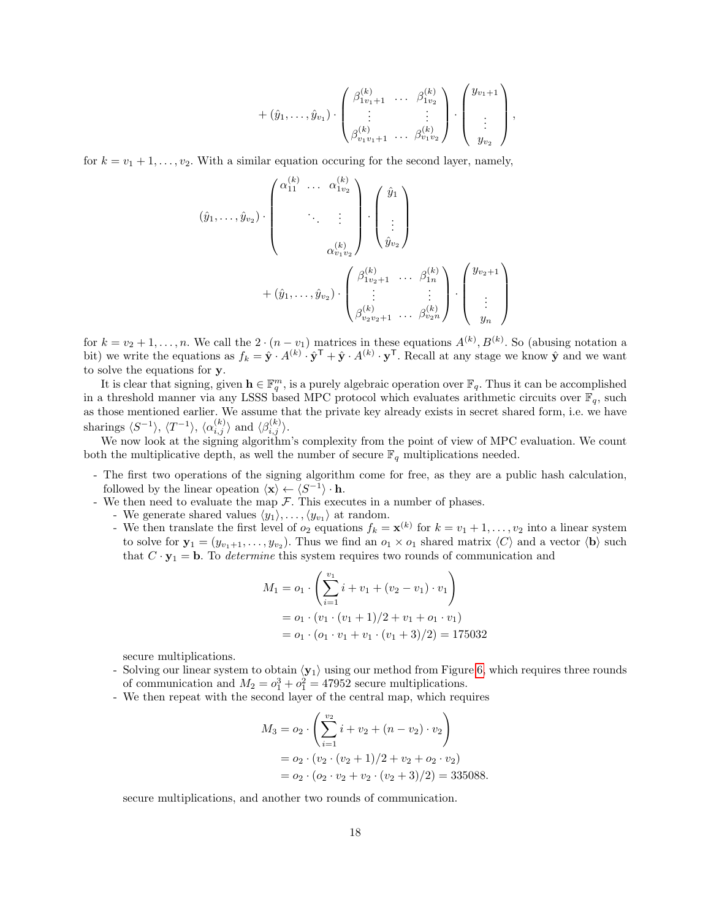$$
+ (\hat{y}_1, \ldots, \hat{y}_{v_1}) \cdot \begin{pmatrix} \beta_{1v_1+1}^{(k)} & \cdots & \beta_{1v_2}^{(k)} \\ \vdots & & \vdots \\ \beta_{v_1v_1+1}^{(k)} & \cdots & \beta_{v_1v_2}^{(k)} \end{pmatrix} \cdot \begin{pmatrix} y_{v_1+1} \\ \vdots \\ y_{v_2} \end{pmatrix},
$$

for  $k = v_1 + 1, \ldots, v_2$ . With a similar equation occuring for the second layer, namely,

$$
(\hat{y}_1, \ldots, \hat{y}_{v_2}) \cdot \begin{pmatrix} \alpha_{11}^{(k)} & \cdots & \alpha_{1v_2}^{(k)} \\ & \ddots & \vdots \\ & & \alpha_{v_1v_2}^{(k)} \end{pmatrix} \cdot \begin{pmatrix} \hat{y}_1 \\ \vdots \\ \hat{y}_{v_2} \end{pmatrix}
$$

$$
+ (\hat{y}_1, \ldots, \hat{y}_{v_2}) \cdot \begin{pmatrix} \beta_{1v_2+1}^{(k)} & \cdots & \beta_{1n}^{(k)} \\ \vdots & & \vdots \\ \beta_{v_2v_2+1}^{(k)} & \cdots & \beta_{v_2n}^{(k)} \end{pmatrix} \cdot \begin{pmatrix} y_{v_2+1} \\ \vdots \\ y_n \end{pmatrix}
$$

for  $k = v_2 + 1, \ldots, n$ . We call the  $2 \cdot (n - v_1)$  matrices in these equations  $A^{(k)}$ ,  $B^{(k)}$ . So (abusing notation a bit) we write the equations as  $f_k = \hat{\mathbf{y}} \cdot A^{(k)} \cdot \hat{\mathbf{y}}^\mathsf{T} + \hat{\mathbf{y}} \cdot A^{(k)} \cdot \mathbf{y}^\mathsf{T}$ . Recall at any stage we know  $\hat{\mathbf{y}}$  and we want to solve the equations for y.

It is clear that signing, given  $\mathbf{h} \in \mathbb{F}_q^m$ , is a purely algebraic operation over  $\mathbb{F}_q$ . Thus it can be accomplished in a threshold manner via any LSSS based MPC protocol which evaluates arithmetic circuits over  $\mathbb{F}_q$ , such as those mentioned earlier. We assume that the private key already exists in secret shared form, i.e. we have sharings  $\langle S^{-1} \rangle$ ,  $\langle T^{-1} \rangle$ ,  $\langle \alpha_{i,j}^{(k)} \rangle$  and  $\langle \beta_{i,j}^{(k)} \rangle$ .

We now look at the signing algorithm's complexity from the point of view of MPC evaluation. We count both the multiplicative depth, as well the number of secure  $\mathbb{F}_q$  multiplications needed.

- The first two operations of the signing algorithm come for free, as they are a public hash calculation, followed by the linear opeation  $\langle \mathbf{x} \rangle \leftarrow \langle S^{-1} \rangle \cdot \mathbf{h}$ .
- We then need to evaluate the map  $\mathcal F$ . This executes in a number of phases.
	- We generate shared values  $\langle y_1 \rangle, \ldots, \langle y_{v_1} \rangle$  at random.
	- We then translate the first level of  $o_2$  equations  $f_k = \mathbf{x}^{(k)}$  for  $k = v_1 + 1, \ldots, v_2$  into a linear system to solve for  $\mathbf{y}_1 = (y_{v_1+1}, \ldots, y_{v_2})$ . Thus we find an  $o_1 \times o_1$  shared matrix  $\langle C \rangle$  and a vector  $\langle \mathbf{b} \rangle$  such that  $C \cdot \mathbf{y}_1 = \mathbf{b}$ . To *determine* this system requires two rounds of communication and

$$
M_1 = o_1 \cdot \left( \sum_{i=1}^{v_1} i + v_1 + (v_2 - v_1) \cdot v_1 \right)
$$
  
=  $o_1 \cdot (v_1 \cdot (v_1 + 1)/2 + v_1 + o_1 \cdot v_1)$   
=  $o_1 \cdot (o_1 \cdot v_1 + v_1 \cdot (v_1 + 3)/2) = 175032$ 

secure multiplications.

- Solving our linear system to obtain  $\langle y_1 \rangle$  using our method from Figure [6,](#page-13-0) which requires three rounds of communication and  $M_2 = o_1^3 + o_1^2 = 47952$  secure multiplications.
- We then repeat with the second layer of the central map, which requires

$$
M_3 = o_2 \cdot \left( \sum_{i=1}^{v_2} i + v_2 + (n - v_2) \cdot v_2 \right)
$$
  
=  $o_2 \cdot (v_2 \cdot (v_2 + 1)/2 + v_2 + o_2 \cdot v_2)$   
=  $o_2 \cdot (o_2 \cdot v_2 + v_2 \cdot (v_2 + 3)/2) = 335088.$ 

secure multiplications, and another two rounds of communication.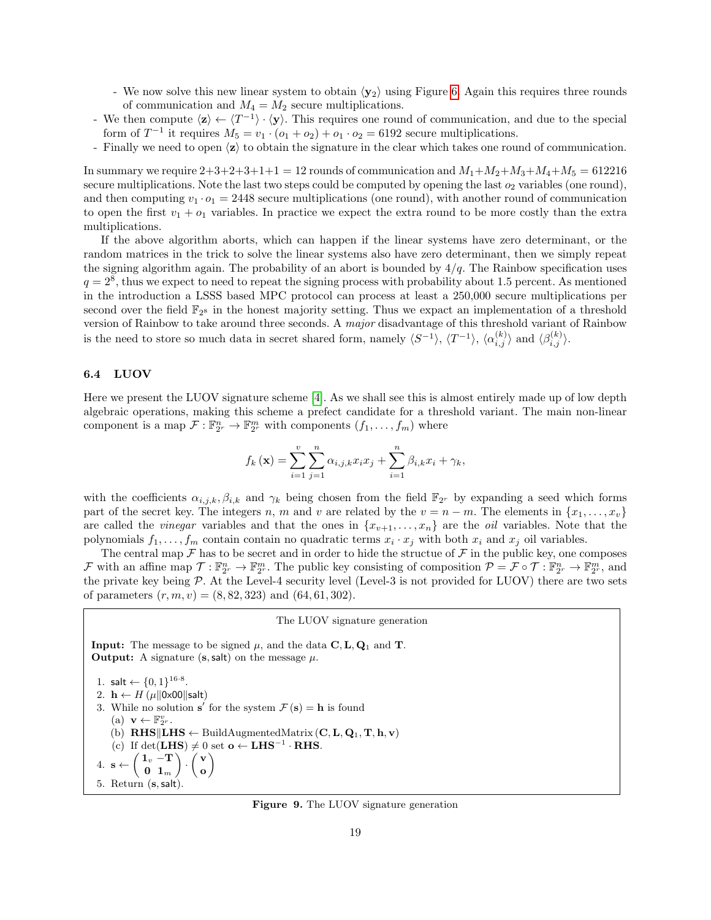- We now solve this new linear system to obtain  $\langle y_2 \rangle$  using Figure [6.](#page-13-0) Again this requires three rounds of communication and  $M_4 = M_2$  secure multiplications.
- We then compute  $\langle z \rangle \leftarrow \langle T^{-1} \rangle \cdot \langle y \rangle$ . This requires one round of communication, and due to the special form of  $T^{-1}$  it requires  $M_5 = v_1 \cdot (o_1 + o_2) + o_1 \cdot o_2 = 6192$  secure multiplications.
- Finally we need to open  $\langle z \rangle$  to obtain the signature in the clear which takes one round of communication.

In summary we require  $2+3+2+3+1+1=12$  rounds of communication and  $M_1+M_2+M_3+M_4+M_5=612216$ secure multiplications. Note the last two steps could be computed by opening the last  $o_2$  variables (one round), and then computing  $v_1 \cdot o_1 = 2448$  secure multiplications (one round), with another round of communication to open the first  $v_1 + o_1$  variables. In practice we expect the extra round to be more costly than the extra multiplications.

If the above algorithm aborts, which can happen if the linear systems have zero determinant, or the random matrices in the trick to solve the linear systems also have zero determinant, then we simply repeat the signing algorithm again. The probability of an abort is bounded by  $4/q$ . The Rainbow specification uses  $q = 2<sup>8</sup>$ , thus we expect to need to repeat the signing process with probability about 1.5 percent. As mentioned in the introduction a LSSS based MPC protocol can process at least a 250,000 secure multiplications per second over the field  $\mathbb{F}_{2^8}$  in the honest majority setting. Thus we expact an implementation of a threshold version of Rainbow to take around three seconds. A major disadvantage of this threshold variant of Rainbow is the need to store so much data in secret shared form, namely  $\langle S^{-1} \rangle$ ,  $\langle T^{-1} \rangle$ ,  $\langle \alpha_{i,j}^{(k)} \rangle$  and  $\langle \beta_{i,j}^{(k)} \rangle$ .

### 6.4 LUOV

Here we present the LUOV signature scheme [\[4\]](#page-20-4). As we shall see this is almost entirely made up of low depth algebraic operations, making this scheme a prefect candidate for a threshold variant. The main non-linear component is a map  $\mathcal{F}: \mathbb{F}_{2^r}^n \to \mathbb{F}_{2^r}^m$  with components  $(f_1, \ldots, f_m)$  where

$$
f_k(\mathbf{x}) = \sum_{i=1}^v \sum_{j=1}^n \alpha_{i,j,k} x_i x_j + \sum_{i=1}^n \beta_{i,k} x_i + \gamma_k,
$$

with the coefficients  $\alpha_{i,j,k}, \beta_{i,k}$  and  $\gamma_k$  being chosen from the field  $\mathbb{F}_{2^r}$  by expanding a seed which forms part of the secret key. The integers n, m and v are related by the  $v = n - m$ . The elements in  $\{x_1, \ldots, x_v\}$ are called the *vinegar* variables and that the ones in  $\{x_{v+1}, \ldots, x_n\}$  are the *oil* variables. Note that the polynomials  $f_1, \ldots, f_m$  contain contain no quadratic terms  $x_i \cdot x_j$  with both  $x_i$  and  $x_j$  oil variables.

The central map  $\mathcal F$  has to be secret and in order to hide the structue of  $\mathcal F$  in the public key, one composes F with an affine map  $\mathcal{T}: \mathbb{F}_{2^r}^n \to \mathbb{F}_{2^r}^m$ . The public key consisting of composition  $\mathcal{P} = \mathcal{F} \circ \mathcal{T}: \mathbb{F}_{2^r}^n \to \mathbb{F}_{2^r}^m$ , and the private key being  $P$ . At the Level-4 security level (Level-3 is not provided for LUOV) there are two sets of parameters  $(r, m, v) = (8, 82, 323)$  and  $(64, 61, 302)$ .

#### The LUOV signature generation

**Input:** The message to be signed  $\mu$ , and the data  $\mathbf{C}, \mathbf{L}, \mathbf{Q}_1$  and **T**. **Output:** A signature  $(s, \text{salt})$  on the message  $\mu$ .

1. salt  $\leftarrow \{0, 1\}^{16 \cdot 8}$ .

2.  $\mathbf{h} \leftarrow H(\mu||0 \times 00||\text{salt})$ 

- 3. While no solution s' for the system  $\mathcal{F}(s) = h$  is found
- (a)  $\mathbf{v} \leftarrow \mathbb{F}_{2^r}^v$ .
- (b)  $RHS\|LHS \leftarrow \text{BuildAugmentedMatrix}(\mathbf{C}, \mathbf{L}, \mathbf{Q}_1, \mathbf{T}, \mathbf{h}, \mathbf{v})$
- (c) If det(LHS)  $\neq 0$  set  $o \leftarrow$  LHS<sup>-1</sup> · RHS.  $\setminus$

4. 
$$
\mathbf{s} \leftarrow \begin{pmatrix} \mathbf{1}_v - \mathbf{T} \\ \mathbf{0} & \mathbf{1}_m \end{pmatrix} \cdot \begin{pmatrix} \mathbf{v} \\ \mathbf{o} \end{pmatrix}
$$
  
5. Return  $(\mathbf{s}, \mathsf{salt})$ .

#### <span id="page-18-0"></span>Figure 9. The LUOV signature generation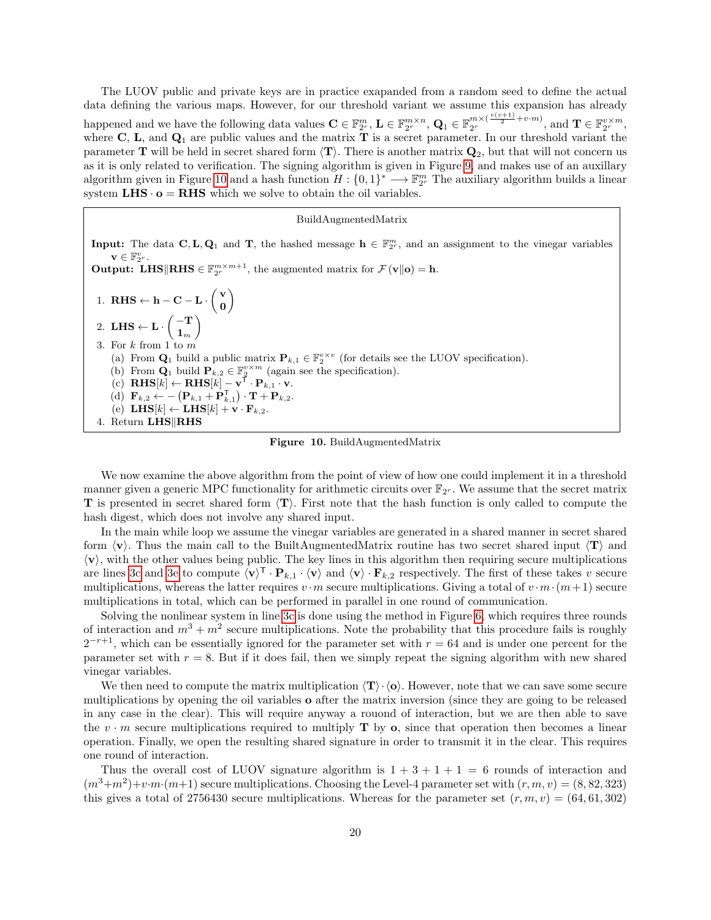The LUOV public and private keys are in practice exapanded from a random seed to define the actual data defining the various maps. However, for our threshold variant we assume this expansion has already happened and we have the following data values  $\mathbf{C} \in \mathbb{F}_{2^r}^m$ ,  $\mathbf{L} \in \mathbb{F}_{2^r}^{m \times n}$ ,  $\mathbf{Q}_1 \in \mathbb{F}_{2^r}^{m \times (\frac{v(v+1)}{2} + v \cdot m)}$ , and  $\mathbf{T} \in \mathbb{F}_{2^r}^{v \times m}$ , where  $C$ ,  $L$ , and  $Q_1$  are public values and the matrix  $\overline{T}$  is a secret parameter. In our threshold variant the parameter **T** will be held in secret shared form  $\langle \mathbf{T} \rangle$ . There is another matrix  $\mathbf{Q}_2$ , but that will not concern us as it is only related to verification. The signing algorithm is given in Figure [9,](#page-18-0) and makes use of an auxillary algorithm given in Figure [10](#page-19-0) and a hash function  $H: \{0,1\}^* \longrightarrow \mathbb{F}_{2^r}^m$  The auxiliary algorithm builds a linear system  $LHS \cdot o = RHS$  which we solve to obtain the oil variables.

#### BuildAugmentedMatrix

**Input:** The data  $C, L, Q_1$  and T, the hashed message  $h \in \mathbb{F}_2^m$ , and an assignment to the vinegar variables  $\mathbf{v} \in \mathbb{F}_{2^r}^v$ . **Output:** LHS RHS  $\in \mathbb{F}_{2^r}^{m \times m+1}$ , the augmented matrix for  $\mathcal{F}(\mathbf{v}||\mathbf{o}) = \mathbf{h}$ . 1. RHS  $\leftarrow$  h – C – L ·  $\begin{pmatrix} v \\ o \end{pmatrix}$ 0  $\setminus$ 2. LHS  $\leftarrow$  L $\cdot$   $\begin{pmatrix} -T \\ 1 \end{pmatrix}$  $\mathbf{1}_m$  $\setminus$ 3. For  $k$  from 1 to  $m$ (a) From  $\mathbf{Q}_1$  build a public matrix  $\mathbf{P}_{k,1} \in \mathbb{F}_2^{v \times v}$  (for details see the LUOV specification). (a) From  $\mathbf{Q}_1$  build  $\mathbf{P}_{k,2} \in \mathbb{F}_2^{v \times m}$  (again see the specification). (c)  $\mathbf{RHS}[k] \leftarrow \mathbf{RHS}[k] - \mathbf{v}^{\mathsf{T}} \cdot \mathbf{P}_{k,1} \cdot \mathbf{v}.$ (d)  $\mathbf{F}_{k,2} \leftarrow -\left(\mathbf{P}_{k,1} + \mathbf{P}_{k,1}^{\mathsf{T}}\right) \cdot \mathbf{T} + \mathbf{P}_{k,2}.$ (e) LHS $[k] \leftarrow$  LHS $[k] + \mathbf{v} \cdot \mathbf{F}_{k,2}$ . 4. Return LHS RHS

<span id="page-19-0"></span>Figure 10. BuildAugmentedMatrix

<span id="page-19-2"></span><span id="page-19-1"></span>We now examine the above algorithm from the point of view of how one could implement it in a threshold manner given a generic MPC functionality for arithmetic circuits over  $\mathbb{F}_{2^r}$ . We assume that the secret matrix **T** is presented in secret shared form  $\langle T \rangle$ . First note that the hash function is only called to compute the hash digest, which does not involve any shared input.

In the main while loop we assume the vinegar variables are generated in a shared manner in secret shared form  $\langle v \rangle$ . Thus the main call to the BuiltAugmentedMatrix routine has two secret shared input  $\langle T \rangle$  and  $\langle v \rangle$ , with the other values being public. The key lines in this algorithm then requiring secure multiplications are lines [3c](#page-19-1) and [3e](#page-19-2) to compute  $\langle v \rangle^{\mathsf{T}} \cdot \mathbf{P}_{k,1} \cdot \langle v \rangle$  and  $\langle v \rangle \cdot \mathbf{F}_{k,2}$  respectively. The first of these takes v secure multiplications, whereas the latter requires  $v \cdot m$  secure multiplications. Giving a total of  $v \cdot m \cdot (m+1)$  secure multiplications in total, which can be performed in parallel in one round of communication.

Solving the nonlinear system in line [3c](#page-19-1) is done using the method in Figure [6,](#page-13-0) which requires three rounds of interaction and  $m^3 + m^2$  secure multiplications. Note the probability that this procedure fails is roughly  $2^{-r+1}$ , which can be essentially ignored for the parameter set with  $r = 64$  and is under one percent for the parameter set with  $r = 8$ . But if it does fail, then we simply repeat the signing algorithm with new shared vinegar variables.

We then need to compute the matrix multiplication  $\langle T \rangle \cdot \langle \mathbf{o} \rangle$ . However, note that we can save some secure multiplications by opening the oil variables o after the matrix inversion (since they are going to be released in any case in the clear). This will require anyway a rouond of interaction, but we are then able to save the  $v \cdot m$  secure multiplications required to multiply **T** by **o**, since that operation then becomes a linear operation. Finally, we open the resulting shared signature in order to transmit it in the clear. This requires one round of interaction.

Thus the overall cost of LUOV signature algorithm is  $1 + 3 + 1 + 1 = 6$  rounds of interaction and  $(m^3+m^2)+v\cdot m\cdot (m+1)$  secure multiplications. Choosing the Level-4 parameter set with  $(r, m, v) = (8, 82, 323)$ this gives a total of 2756430 secure multiplications. Whereas for the parameter set  $(r, m, v) = (64, 61, 302)$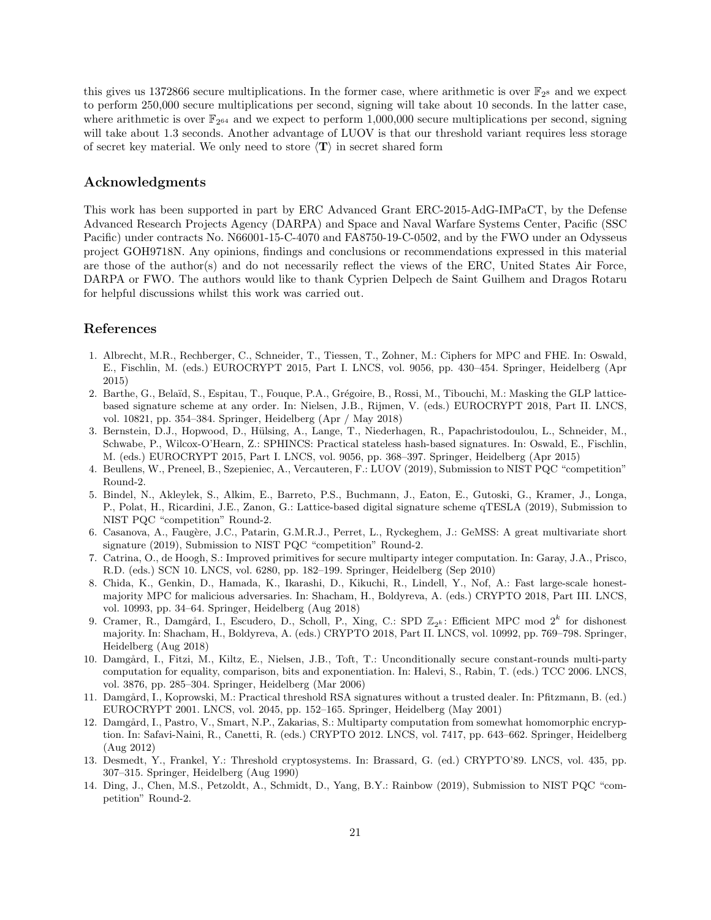this gives us 1372866 secure multiplications. In the former case, where arithmetic is over  $\mathbb{F}_{2^8}$  and we expect to perform 250,000 secure multiplications per second, signing will take about 10 seconds. In the latter case, where arithmetic is over  $\mathbb{F}_{2^{64}}$  and we expect to perform 1,000,000 secure multiplications per second, signing will take about 1.3 seconds. Another advantage of LUOV is that our threshold variant requires less storage of secret key material. We only need to store  $\langle T \rangle$  in secret shared form

## Acknowledgments

This work has been supported in part by ERC Advanced Grant ERC-2015-AdG-IMPaCT, by the Defense Advanced Research Projects Agency (DARPA) and Space and Naval Warfare Systems Center, Pacific (SSC Pacific) under contracts No. N66001-15-C-4070 and FA8750-19-C-0502, and by the FWO under an Odysseus project GOH9718N. Any opinions, findings and conclusions or recommendations expressed in this material are those of the author(s) and do not necessarily reflect the views of the ERC, United States Air Force, DARPA or FWO. The authors would like to thank Cyprien Delpech de Saint Guilhem and Dragos Rotaru for helpful discussions whilst this work was carried out.

## References

- <span id="page-20-12"></span>1. Albrecht, M.R., Rechberger, C., Schneider, T., Tiessen, T., Zohner, M.: Ciphers for MPC and FHE. In: Oswald, E., Fischlin, M. (eds.) EUROCRYPT 2015, Part I. LNCS, vol. 9056, pp. 430–454. Springer, Heidelberg (Apr 2015)
- <span id="page-20-11"></span>2. Barthe, G., Belaïd, S., Espitau, T., Fouque, P.A., Grégoire, B., Rossi, M., Tibouchi, M.: Masking the GLP latticebased signature scheme at any order. In: Nielsen, J.B., Rijmen, V. (eds.) EUROCRYPT 2018, Part II. LNCS, vol. 10821, pp. 354–384. Springer, Heidelberg (Apr / May 2018)
- <span id="page-20-13"></span>3. Bernstein, D.J., Hopwood, D., Hülsing, A., Lange, T., Niederhagen, R., Papachristodoulou, L., Schneider, M., Schwabe, P., Wilcox-O'Hearn, Z.: SPHINCS: Practical stateless hash-based signatures. In: Oswald, E., Fischlin, M. (eds.) EUROCRYPT 2015, Part I. LNCS, vol. 9056, pp. 368–397. Springer, Heidelberg (Apr 2015)
- <span id="page-20-4"></span>4. Beullens, W., Preneel, B., Szepieniec, A., Vercauteren, F.: LUOV (2019), Submission to NIST PQC "competition" Round-2.
- <span id="page-20-2"></span>5. Bindel, N., Akleylek, S., Alkim, E., Barreto, P.S., Buchmann, J., Eaton, E., Gutoski, G., Kramer, J., Longa, P., Polat, H., Ricardini, J.E., Zanon, G.: Lattice-based digital signature scheme qTESLA (2019), Submission to NIST PQC "competition" Round-2.
- <span id="page-20-3"></span>6. Casanova, A., Faugère, J.C., Patarin, G.M.R.J., Perret, L., Ryckeghem, J.: GeMSS: A great multivariate short signature (2019), Submission to NIST PQC "competition" Round-2.
- <span id="page-20-8"></span>7. Catrina, O., de Hoogh, S.: Improved primitives for secure multiparty integer computation. In: Garay, J.A., Prisco, R.D. (eds.) SCN 10. LNCS, vol. 6280, pp. 182–199. Springer, Heidelberg (Sep 2010)
- <span id="page-20-7"></span>8. Chida, K., Genkin, D., Hamada, K., Ikarashi, D., Kikuchi, R., Lindell, Y., Nof, A.: Fast large-scale honestmajority MPC for malicious adversaries. In: Shacham, H., Boldyreva, A. (eds.) CRYPTO 2018, Part III. LNCS, vol. 10993, pp. 34–64. Springer, Heidelberg (Aug 2018)
- <span id="page-20-10"></span>9. Cramer, R., Damgård, I., Escudero, D., Scholl, P., Xing, C.: SPD  $\mathbb{Z}_{2^k}$ : Efficient MPC mod  $2^k$  for dishonest majority. In: Shacham, H., Boldyreva, A. (eds.) CRYPTO 2018, Part II. LNCS, vol. 10992, pp. 769–798. Springer, Heidelberg (Aug 2018)
- <span id="page-20-9"></span>10. Damgård, I., Fitzi, M., Kiltz, E., Nielsen, J.B., Toft, T.: Unconditionally secure constant-rounds multi-party computation for equality, comparison, bits and exponentiation. In: Halevi, S., Rabin, T. (eds.) TCC 2006. LNCS, vol. 3876, pp. 285–304. Springer, Heidelberg (Mar 2006)
- <span id="page-20-1"></span>11. Damgård, I., Koprowski, M.: Practical threshold RSA signatures without a trusted dealer. In: Pfitzmann, B. (ed.) EUROCRYPT 2001. LNCS, vol. 2045, pp. 152–165. Springer, Heidelberg (May 2001)
- <span id="page-20-6"></span>12. Damgård, I., Pastro, V., Smart, N.P., Zakarias, S.: Multiparty computation from somewhat homomorphic encryption. In: Safavi-Naini, R., Canetti, R. (eds.) CRYPTO 2012. LNCS, vol. 7417, pp. 643–662. Springer, Heidelberg (Aug 2012)
- <span id="page-20-0"></span>13. Desmedt, Y., Frankel, Y.: Threshold cryptosystems. In: Brassard, G. (ed.) CRYPTO'89. LNCS, vol. 435, pp. 307–315. Springer, Heidelberg (Aug 1990)
- <span id="page-20-5"></span>14. Ding, J., Chen, M.S., Petzoldt, A., Schmidt, D., Yang, B.Y.: Rainbow (2019), Submission to NIST PQC "competition" Round-2.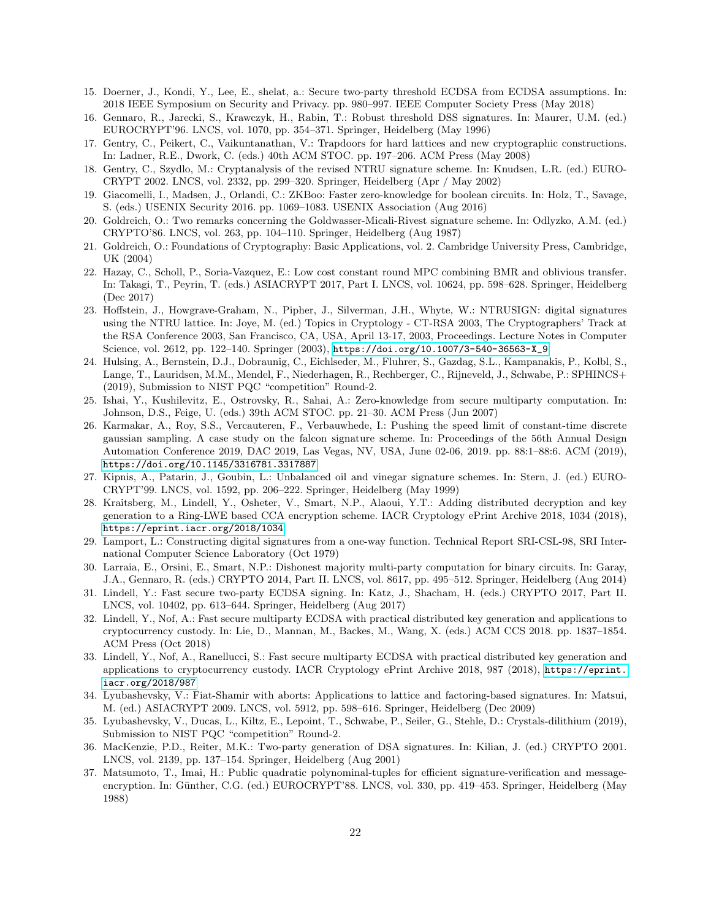- <span id="page-21-2"></span>15. Doerner, J., Kondi, Y., Lee, E., shelat, a.: Secure two-party threshold ECDSA from ECDSA assumptions. In: 2018 IEEE Symposium on Security and Privacy. pp. 980–997. IEEE Computer Society Press (May 2018)
- <span id="page-21-0"></span>16. Gennaro, R., Jarecki, S., Krawczyk, H., Rabin, T.: Robust threshold DSS signatures. In: Maurer, U.M. (ed.) EUROCRYPT'96. LNCS, vol. 1070, pp. 354–371. Springer, Heidelberg (May 1996)
- <span id="page-21-13"></span>17. Gentry, C., Peikert, C., Vaikuntanathan, V.: Trapdoors for hard lattices and new cryptographic constructions. In: Ladner, R.E., Dwork, C. (eds.) 40th ACM STOC. pp. 197–206. ACM Press (May 2008)
- <span id="page-21-11"></span>18. Gentry, C., Szydlo, M.: Cryptanalysis of the revised NTRU signature scheme. In: Knudsen, L.R. (ed.) EURO-CRYPT 2002. LNCS, vol. 2332, pp. 299–320. Springer, Heidelberg (Apr / May 2002)
- <span id="page-21-16"></span>19. Giacomelli, I., Madsen, J., Orlandi, C.: ZKBoo: Faster zero-knowledge for boolean circuits. In: Holz, T., Savage, S. (eds.) USENIX Security 2016. pp. 1069–1083. USENIX Association (Aug 2016)
- <span id="page-21-19"></span>20. Goldreich, O.: Two remarks concerning the Goldwasser-Micali-Rivest signature scheme. In: Odlyzko, A.M. (ed.) CRYPTO'86. LNCS, vol. 263, pp. 104–110. Springer, Heidelberg (Aug 1987)
- <span id="page-21-18"></span>21. Goldreich, O.: Foundations of Cryptography: Basic Applications, vol. 2. Cambridge University Press, Cambridge, UK (2004)
- <span id="page-21-9"></span>22. Hazay, C., Scholl, P., Soria-Vazquez, E.: Low cost constant round MPC combining BMR and oblivious transfer. In: Takagi, T., Peyrin, T. (eds.) ASIACRYPT 2017, Part I. LNCS, vol. 10624, pp. 598–628. Springer, Heidelberg (Dec 2017)
- <span id="page-21-10"></span>23. Hoffstein, J., Howgrave-Graham, N., Pipher, J., Silverman, J.H., Whyte, W.: NTRUSIGN: digital signatures using the NTRU lattice. In: Joye, M. (ed.) Topics in Cryptology - CT-RSA 2003, The Cryptographers' Track at the RSA Conference 2003, San Francisco, CA, USA, April 13-17, 2003, Proceedings. Lecture Notes in Computer Science, vol. 2612, pp. 122–140. Springer (2003), [https://doi.org/10.1007/3-540-36563-X\\_9](https://doi.org/10.1007/3-540-36563-X_9)
- <span id="page-21-6"></span>24. Hulsing, A., Bernstein, D.J., Dobraunig, C., Eichlseder, M., Fluhrer, S., Gazdag, S.L., Kampanakis, P., Kolbl, S., Lange, T., Lauridsen, M.M., Mendel, F., Niederhagen, R., Rechberger, C., Rijneveld, J., Schwabe, P.: SPHINCS+ (2019), Submission to NIST PQC "competition" Round-2.
- <span id="page-21-15"></span>25. Ishai, Y., Kushilevitz, E., Ostrovsky, R., Sahai, A.: Zero-knowledge from secure multiparty computation. In: Johnson, D.S., Feige, U. (eds.) 39th ACM STOC. pp. 21–30. ACM Press (Jun 2007)
- <span id="page-21-14"></span>26. Karmakar, A., Roy, S.S., Vercauteren, F., Verbauwhede, I.: Pushing the speed limit of constant-time discrete gaussian sampling. A case study on the falcon signature scheme. In: Proceedings of the 56th Annual Design Automation Conference 2019, DAC 2019, Las Vegas, NV, USA, June 02-06, 2019. pp. 88:1–88:6. ACM (2019), <https://doi.org/10.1145/3316781.3317887>
- <span id="page-21-21"></span>27. Kipnis, A., Patarin, J., Goubin, L.: Unbalanced oil and vinegar signature schemes. In: Stern, J. (ed.) EURO-CRYPT'99. LNCS, vol. 1592, pp. 206–222. Springer, Heidelberg (May 1999)
- <span id="page-21-7"></span>28. Kraitsberg, M., Lindell, Y., Osheter, V., Smart, N.P., Alaoui, Y.T.: Adding distributed decryption and key generation to a Ring-LWE based CCA encryption scheme. IACR Cryptology ePrint Archive 2018, 1034 (2018), <https://eprint.iacr.org/2018/1034>
- <span id="page-21-17"></span>29. Lamport, L.: Constructing digital signatures from a one-way function. Technical Report SRI-CSL-98, SRI International Computer Science Laboratory (Oct 1979)
- <span id="page-21-8"></span>30. Larraia, E., Orsini, E., Smart, N.P.: Dishonest majority multi-party computation for binary circuits. In: Garay, J.A., Gennaro, R. (eds.) CRYPTO 2014, Part II. LNCS, vol. 8617, pp. 495–512. Springer, Heidelberg (Aug 2014)
- <span id="page-21-3"></span>31. Lindell, Y.: Fast secure two-party ECDSA signing. In: Katz, J., Shacham, H. (eds.) CRYPTO 2017, Part II. LNCS, vol. 10402, pp. 613–644. Springer, Heidelberg (Aug 2017)
- 32. Lindell, Y., Nof, A.: Fast secure multiparty ECDSA with practical distributed key generation and applications to cryptocurrency custody. In: Lie, D., Mannan, M., Backes, M., Wang, X. (eds.) ACM CCS 2018. pp. 1837–1854. ACM Press (Oct 2018)
- <span id="page-21-4"></span>33. Lindell, Y., Nof, A., Ranellucci, S.: Fast secure multiparty ECDSA with practical distributed key generation and applications to cryptocurrency custody. IACR Cryptology ePrint Archive 2018, 987 (2018), [https://eprint.](https://eprint.iacr.org/2018/987) [iacr.org/2018/987](https://eprint.iacr.org/2018/987)
- <span id="page-21-12"></span>34. Lyubashevsky, V.: Fiat-Shamir with aborts: Applications to lattice and factoring-based signatures. In: Matsui, M. (ed.) ASIACRYPT 2009. LNCS, vol. 5912, pp. 598–616. Springer, Heidelberg (Dec 2009)
- <span id="page-21-5"></span>35. Lyubashevsky, V., Ducas, L., Kiltz, E., Lepoint, T., Schwabe, P., Seiler, G., Stehle, D.: Crystals-dilithium (2019), Submission to NIST PQC "competition" Round-2.
- <span id="page-21-1"></span>36. MacKenzie, P.D., Reiter, M.K.: Two-party generation of DSA signatures. In: Kilian, J. (ed.) CRYPTO 2001. LNCS, vol. 2139, pp. 137–154. Springer, Heidelberg (Aug 2001)
- <span id="page-21-20"></span>37. Matsumoto, T., Imai, H.: Public quadratic polynominal-tuples for efficient signature-verification and messageencryption. In: Günther, C.G. (ed.) EUROCRYPT'88. LNCS, vol. 330, pp. 419-453. Springer, Heidelberg (May 1988)